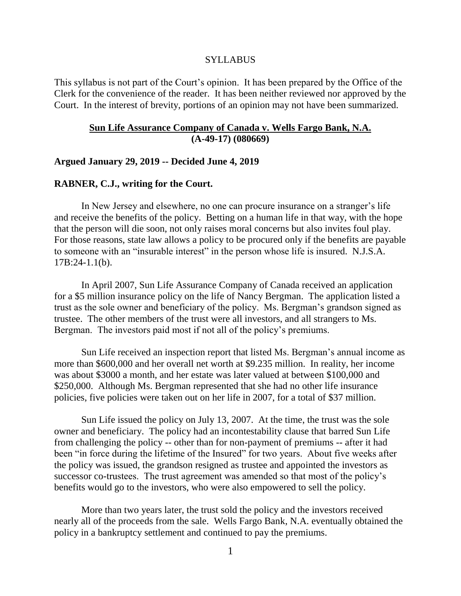#### SYLLABUS

This syllabus is not part of the Court's opinion. It has been prepared by the Office of the Clerk for the convenience of the reader. It has been neither reviewed nor approved by the Court. In the interest of brevity, portions of an opinion may not have been summarized.

## **Sun Life Assurance Company of Canada v. Wells Fargo Bank, N.A. (A-49-17) (080669)**

## **Argued January 29, 2019 -- Decided June 4, 2019**

### **RABNER, C.J., writing for the Court.**

In New Jersey and elsewhere, no one can procure insurance on a stranger's life and receive the benefits of the policy. Betting on a human life in that way, with the hope that the person will die soon, not only raises moral concerns but also invites foul play. For those reasons, state law allows a policy to be procured only if the benefits are payable to someone with an "insurable interest" in the person whose life is insured. N.J.S.A. 17B:24-1.1(b).

In April 2007, Sun Life Assurance Company of Canada received an application for a \$5 million insurance policy on the life of Nancy Bergman. The application listed a trust as the sole owner and beneficiary of the policy. Ms. Bergman's grandson signed as trustee. The other members of the trust were all investors, and all strangers to Ms. Bergman. The investors paid most if not all of the policy's premiums.

Sun Life received an inspection report that listed Ms. Bergman's annual income as more than \$600,000 and her overall net worth at \$9.235 million. In reality, her income was about \$3000 a month, and her estate was later valued at between \$100,000 and \$250,000. Although Ms. Bergman represented that she had no other life insurance policies, five policies were taken out on her life in 2007, for a total of \$37 million.

Sun Life issued the policy on July 13, 2007. At the time, the trust was the sole owner and beneficiary. The policy had an incontestability clause that barred Sun Life from challenging the policy -- other than for non-payment of premiums -- after it had been "in force during the lifetime of the Insured" for two years. About five weeks after the policy was issued, the grandson resigned as trustee and appointed the investors as successor co-trustees. The trust agreement was amended so that most of the policy's benefits would go to the investors, who were also empowered to sell the policy.

More than two years later, the trust sold the policy and the investors received nearly all of the proceeds from the sale. Wells Fargo Bank, N.A. eventually obtained the policy in a bankruptcy settlement and continued to pay the premiums.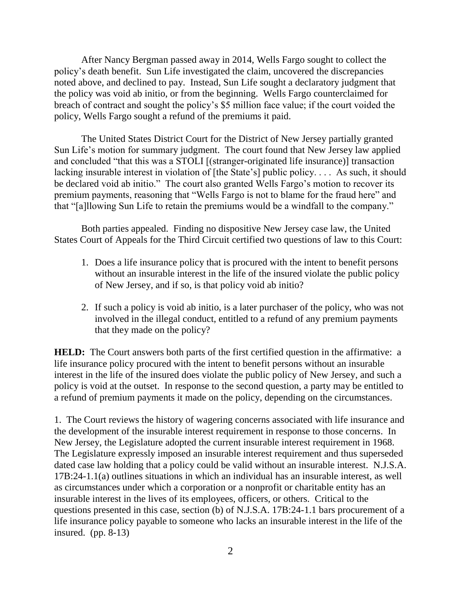After Nancy Bergman passed away in 2014, Wells Fargo sought to collect the policy's death benefit. Sun Life investigated the claim, uncovered the discrepancies noted above, and declined to pay. Instead, Sun Life sought a declaratory judgment that the policy was void ab initio, or from the beginning. Wells Fargo counterclaimed for breach of contract and sought the policy's \$5 million face value; if the court voided the policy, Wells Fargo sought a refund of the premiums it paid.

The United States District Court for the District of New Jersey partially granted Sun Life's motion for summary judgment. The court found that New Jersey law applied and concluded "that this was a STOLI [(stranger-originated life insurance)] transaction lacking insurable interest in violation of [the State's] public policy. . . . As such, it should be declared void ab initio." The court also granted Wells Fargo's motion to recover its premium payments, reasoning that "Wells Fargo is not to blame for the fraud here" and that "[a]llowing Sun Life to retain the premiums would be a windfall to the company."

Both parties appealed. Finding no dispositive New Jersey case law, the United States Court of Appeals for the Third Circuit certified two questions of law to this Court:

- 1. Does a life insurance policy that is procured with the intent to benefit persons without an insurable interest in the life of the insured violate the public policy of New Jersey, and if so, is that policy void ab initio?
- 2. If such a policy is void ab initio, is a later purchaser of the policy, who was not involved in the illegal conduct, entitled to a refund of any premium payments that they made on the policy?

**HELD:** The Court answers both parts of the first certified question in the affirmative: a life insurance policy procured with the intent to benefit persons without an insurable interest in the life of the insured does violate the public policy of New Jersey, and such a policy is void at the outset. In response to the second question, a party may be entitled to a refund of premium payments it made on the policy, depending on the circumstances.

1. The Court reviews the history of wagering concerns associated with life insurance and the development of the insurable interest requirement in response to those concerns. In New Jersey, the Legislature adopted the current insurable interest requirement in 1968. The Legislature expressly imposed an insurable interest requirement and thus superseded dated case law holding that a policy could be valid without an insurable interest. N.J.S.A. 17B:24-1.1(a) outlines situations in which an individual has an insurable interest, as well as circumstances under which a corporation or a nonprofit or charitable entity has an insurable interest in the lives of its employees, officers, or others. Critical to the questions presented in this case, section (b) of N.J.S.A. 17B:24-1.1 bars procurement of a life insurance policy payable to someone who lacks an insurable interest in the life of the insured. (pp. 8-13)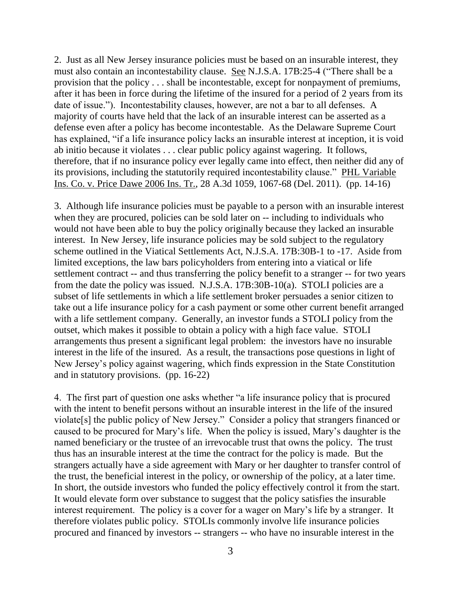2. Just as all New Jersey insurance policies must be based on an insurable interest, they must also contain an incontestability clause. See N.J.S.A. 17B:25-4 ("There shall be a provision that the policy . . . shall be incontestable, except for nonpayment of premiums, after it has been in force during the lifetime of the insured for a period of 2 years from its date of issue."). Incontestability clauses, however, are not a bar to all defenses. A majority of courts have held that the lack of an insurable interest can be asserted as a defense even after a policy has become incontestable. As the Delaware Supreme Court has explained, "if a life insurance policy lacks an insurable interest at inception, it is void ab initio because it violates . . . clear public policy against wagering. It follows, therefore, that if no insurance policy ever legally came into effect, then neither did any of its provisions, including the statutorily required incontestability clause." PHL Variable Ins. Co. v. Price Dawe 2006 Ins. Tr., 28 A.3d 1059, 1067-68 (Del. 2011). (pp. 14-16)

3. Although life insurance policies must be payable to a person with an insurable interest when they are procured, policies can be sold later on -- including to individuals who would not have been able to buy the policy originally because they lacked an insurable interest. In New Jersey, life insurance policies may be sold subject to the regulatory scheme outlined in the Viatical Settlements Act, N.J.S.A. 17B:30B-1 to -17. Aside from limited exceptions, the law bars policyholders from entering into a viatical or life settlement contract -- and thus transferring the policy benefit to a stranger -- for two years from the date the policy was issued. N.J.S.A. 17B:30B-10(a). STOLI policies are a subset of life settlements in which a life settlement broker persuades a senior citizen to take out a life insurance policy for a cash payment or some other current benefit arranged with a life settlement company. Generally, an investor funds a STOLI policy from the outset, which makes it possible to obtain a policy with a high face value. STOLI arrangements thus present a significant legal problem: the investors have no insurable interest in the life of the insured. As a result, the transactions pose questions in light of New Jersey's policy against wagering, which finds expression in the State Constitution and in statutory provisions. (pp. 16-22)

4. The first part of question one asks whether "a life insurance policy that is procured with the intent to benefit persons without an insurable interest in the life of the insured violate[s] the public policy of New Jersey." Consider a policy that strangers financed or caused to be procured for Mary's life. When the policy is issued, Mary's daughter is the named beneficiary or the trustee of an irrevocable trust that owns the policy. The trust thus has an insurable interest at the time the contract for the policy is made. But the strangers actually have a side agreement with Mary or her daughter to transfer control of the trust, the beneficial interest in the policy, or ownership of the policy, at a later time. In short, the outside investors who funded the policy effectively control it from the start. It would elevate form over substance to suggest that the policy satisfies the insurable interest requirement. The policy is a cover for a wager on Mary's life by a stranger. It therefore violates public policy. STOLIs commonly involve life insurance policies procured and financed by investors -- strangers -- who have no insurable interest in the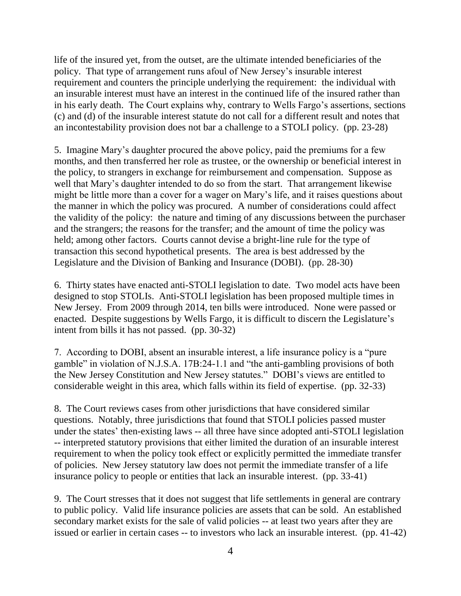life of the insured yet, from the outset, are the ultimate intended beneficiaries of the policy. That type of arrangement runs afoul of New Jersey's insurable interest requirement and counters the principle underlying the requirement: the individual with an insurable interest must have an interest in the continued life of the insured rather than in his early death. The Court explains why, contrary to Wells Fargo's assertions, sections (c) and (d) of the insurable interest statute do not call for a different result and notes that an incontestability provision does not bar a challenge to a STOLI policy. (pp. 23-28)

5. Imagine Mary's daughter procured the above policy, paid the premiums for a few months, and then transferred her role as trustee, or the ownership or beneficial interest in the policy, to strangers in exchange for reimbursement and compensation. Suppose as well that Mary's daughter intended to do so from the start. That arrangement likewise might be little more than a cover for a wager on Mary's life, and it raises questions about the manner in which the policy was procured. A number of considerations could affect the validity of the policy: the nature and timing of any discussions between the purchaser and the strangers; the reasons for the transfer; and the amount of time the policy was held; among other factors. Courts cannot devise a bright-line rule for the type of transaction this second hypothetical presents. The area is best addressed by the Legislature and the Division of Banking and Insurance (DOBI). (pp. 28-30)

6. Thirty states have enacted anti-STOLI legislation to date. Two model acts have been designed to stop STOLIs. Anti-STOLI legislation has been proposed multiple times in New Jersey. From 2009 through 2014, ten bills were introduced. None were passed or enacted. Despite suggestions by Wells Fargo, it is difficult to discern the Legislature's intent from bills it has not passed. (pp. 30-32)

7. According to DOBI, absent an insurable interest, a life insurance policy is a "pure gamble" in violation of N.J.S.A. 17B:24-1.1 and "the anti-gambling provisions of both the New Jersey Constitution and New Jersey statutes." DOBI's views are entitled to considerable weight in this area, which falls within its field of expertise. (pp. 32-33)

8. The Court reviews cases from other jurisdictions that have considered similar questions. Notably, three jurisdictions that found that STOLI policies passed muster under the states' then-existing laws -- all three have since adopted anti-STOLI legislation -- interpreted statutory provisions that either limited the duration of an insurable interest requirement to when the policy took effect or explicitly permitted the immediate transfer of policies. New Jersey statutory law does not permit the immediate transfer of a life insurance policy to people or entities that lack an insurable interest. (pp. 33-41)

9. The Court stresses that it does not suggest that life settlements in general are contrary to public policy. Valid life insurance policies are assets that can be sold. An established secondary market exists for the sale of valid policies -- at least two years after they are issued or earlier in certain cases -- to investors who lack an insurable interest. (pp. 41-42)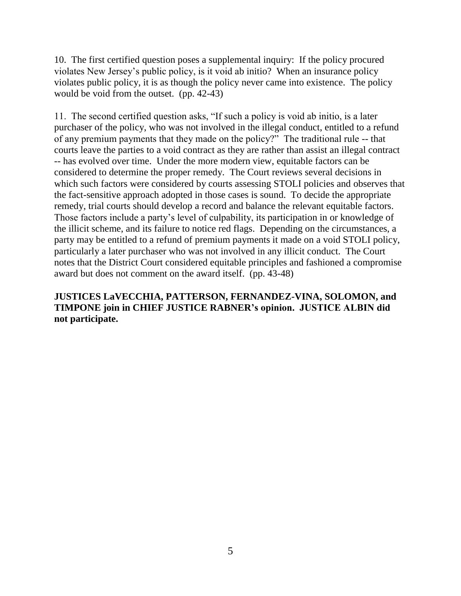10. The first certified question poses a supplemental inquiry: If the policy procured violates New Jersey's public policy, is it void ab initio? When an insurance policy violates public policy, it is as though the policy never came into existence. The policy would be void from the outset. (pp. 42-43)

11. The second certified question asks, "If such a policy is void ab initio, is a later purchaser of the policy, who was not involved in the illegal conduct, entitled to a refund of any premium payments that they made on the policy?" The traditional rule -- that courts leave the parties to a void contract as they are rather than assist an illegal contract -- has evolved over time. Under the more modern view, equitable factors can be considered to determine the proper remedy. The Court reviews several decisions in which such factors were considered by courts assessing STOLI policies and observes that the fact-sensitive approach adopted in those cases is sound. To decide the appropriate remedy, trial courts should develop a record and balance the relevant equitable factors. Those factors include a party's level of culpability, its participation in or knowledge of the illicit scheme, and its failure to notice red flags. Depending on the circumstances, a party may be entitled to a refund of premium payments it made on a void STOLI policy, particularly a later purchaser who was not involved in any illicit conduct. The Court notes that the District Court considered equitable principles and fashioned a compromise award but does not comment on the award itself. (pp. 43-48)

**JUSTICES LaVECCHIA, PATTERSON, FERNANDEZ-VINA, SOLOMON, and TIMPONE join in CHIEF JUSTICE RABNER's opinion. JUSTICE ALBIN did not participate.**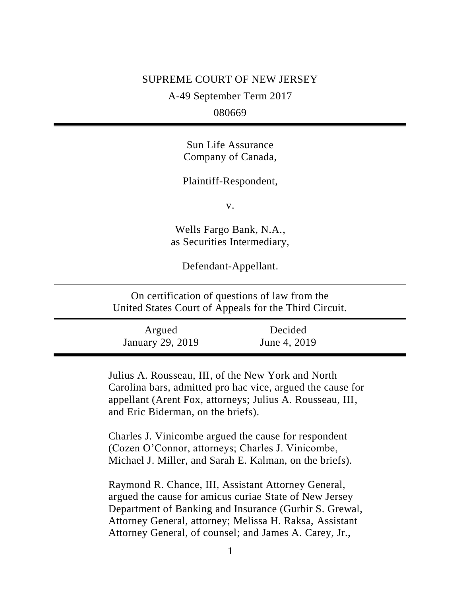# SUPREME COURT OF NEW JERSEY

A-49 September Term 2017

080669

Sun Life Assurance Company of Canada,

Plaintiff-Respondent,

v.

Wells Fargo Bank, N.A., as Securities Intermediary,

Defendant-Appellant.

On certification of questions of law from the United States Court of Appeals for the Third Circuit.

| Argued           | Decided      |  |
|------------------|--------------|--|
| January 29, 2019 | June 4, 2019 |  |

Julius A. Rousseau, III, of the New York and North Carolina bars, admitted pro hac vice, argued the cause for appellant (Arent Fox, attorneys; Julius A. Rousseau, III, and Eric Biderman, on the briefs).

Charles J. Vinicombe argued the cause for respondent (Cozen O'Connor, attorneys; Charles J. Vinicombe, Michael J. Miller, and Sarah E. Kalman, on the briefs).

Raymond R. Chance, III, Assistant Attorney General, argued the cause for amicus curiae State of New Jersey Department of Banking and Insurance (Gurbir S. Grewal, Attorney General, attorney; Melissa H. Raksa, Assistant Attorney General, of counsel; and James A. Carey, Jr.,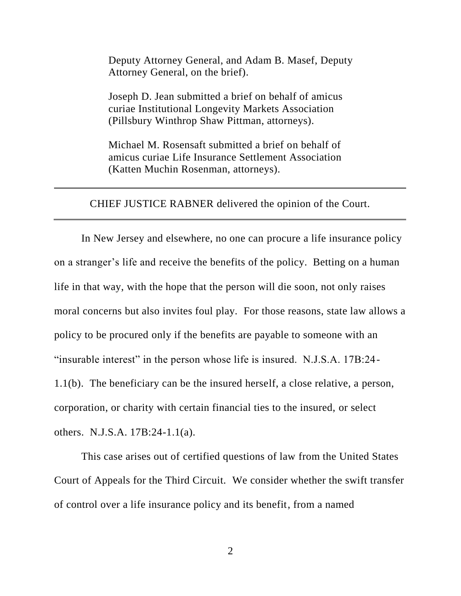Deputy Attorney General, and Adam B. Masef, Deputy Attorney General, on the brief).

Joseph D. Jean submitted a brief on behalf of amicus curiae Institutional Longevity Markets Association (Pillsbury Winthrop Shaw Pittman, attorneys).

Michael M. Rosensaft submitted a brief on behalf of amicus curiae Life Insurance Settlement Association (Katten Muchin Rosenman, attorneys).

# CHIEF JUSTICE RABNER delivered the opinion of the Court.

In New Jersey and elsewhere, no one can procure a life insurance policy on a stranger's life and receive the benefits of the policy. Betting on a human life in that way, with the hope that the person will die soon, not only raises moral concerns but also invites foul play. For those reasons, state law allows a policy to be procured only if the benefits are payable to someone with an "insurable interest" in the person whose life is insured. N.J.S.A. 17B:24- 1.1(b). The beneficiary can be the insured herself, a close relative, a person, corporation, or charity with certain financial ties to the insured, or select others. N.J.S.A. 17B:24-1.1(a).

This case arises out of certified questions of law from the United States Court of Appeals for the Third Circuit. We consider whether the swift transfer of control over a life insurance policy and its benefit, from a named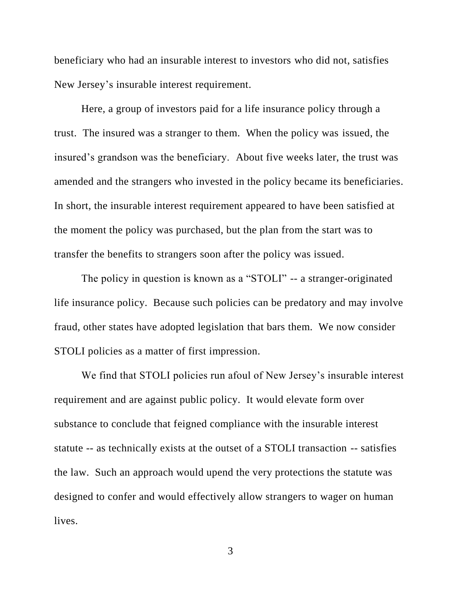beneficiary who had an insurable interest to investors who did not, satisfies New Jersey's insurable interest requirement.

Here, a group of investors paid for a life insurance policy through a trust. The insured was a stranger to them. When the policy was issued, the insured's grandson was the beneficiary. About five weeks later, the trust was amended and the strangers who invested in the policy became its beneficiaries. In short, the insurable interest requirement appeared to have been satisfied at the moment the policy was purchased, but the plan from the start was to transfer the benefits to strangers soon after the policy was issued.

The policy in question is known as a "STOLI" -- a stranger-originated life insurance policy. Because such policies can be predatory and may involve fraud, other states have adopted legislation that bars them. We now consider STOLI policies as a matter of first impression.

We find that STOLI policies run afoul of New Jersey's insurable interest requirement and are against public policy. It would elevate form over substance to conclude that feigned compliance with the insurable interest statute -- as technically exists at the outset of a STOLI transaction -- satisfies the law. Such an approach would upend the very protections the statute was designed to confer and would effectively allow strangers to wager on human lives.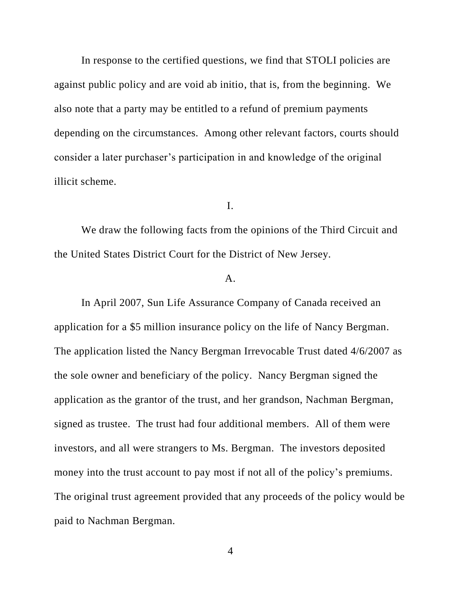In response to the certified questions, we find that STOLI policies are against public policy and are void ab initio, that is, from the beginning. We also note that a party may be entitled to a refund of premium payments depending on the circumstances. Among other relevant factors, courts should consider a later purchaser's participation in and knowledge of the original illicit scheme.

I.

We draw the following facts from the opinions of the Third Circuit and the United States District Court for the District of New Jersey.

## $A<sub>1</sub>$

In April 2007, Sun Life Assurance Company of Canada received an application for a \$5 million insurance policy on the life of Nancy Bergman. The application listed the Nancy Bergman Irrevocable Trust dated 4/6/2007 as the sole owner and beneficiary of the policy. Nancy Bergman signed the application as the grantor of the trust, and her grandson, Nachman Bergman, signed as trustee. The trust had four additional members. All of them were investors, and all were strangers to Ms. Bergman. The investors deposited money into the trust account to pay most if not all of the policy's premiums. The original trust agreement provided that any proceeds of the policy would be paid to Nachman Bergman.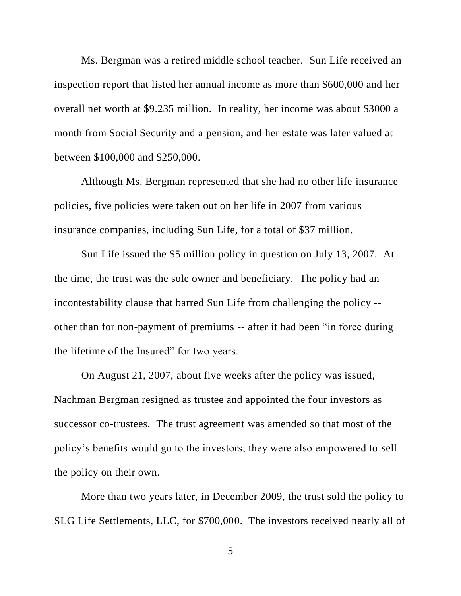Ms. Bergman was a retired middle school teacher. Sun Life received an inspection report that listed her annual income as more than \$600,000 and her overall net worth at \$9.235 million. In reality, her income was about \$3000 a month from Social Security and a pension, and her estate was later valued at between \$100,000 and \$250,000.

Although Ms. Bergman represented that she had no other life insurance policies, five policies were taken out on her life in 2007 from various insurance companies, including Sun Life, for a total of \$37 million.

Sun Life issued the \$5 million policy in question on July 13, 2007. At the time, the trust was the sole owner and beneficiary. The policy had an incontestability clause that barred Sun Life from challenging the policy - other than for non-payment of premiums -- after it had been "in force during the lifetime of the Insured" for two years.

On August 21, 2007, about five weeks after the policy was issued, Nachman Bergman resigned as trustee and appointed the four investors as successor co-trustees. The trust agreement was amended so that most of the policy's benefits would go to the investors; they were also empowered to sell the policy on their own.

More than two years later, in December 2009, the trust sold the policy to SLG Life Settlements, LLC, for \$700,000. The investors received nearly all of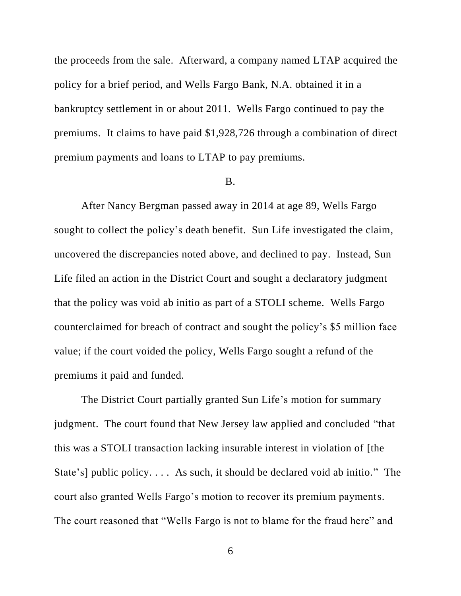the proceeds from the sale. Afterward, a company named LTAP acquired the policy for a brief period, and Wells Fargo Bank, N.A. obtained it in a bankruptcy settlement in or about 2011. Wells Fargo continued to pay the premiums. It claims to have paid \$1,928,726 through a combination of direct premium payments and loans to LTAP to pay premiums.

#### B.

After Nancy Bergman passed away in 2014 at age 89, Wells Fargo sought to collect the policy's death benefit. Sun Life investigated the claim, uncovered the discrepancies noted above, and declined to pay. Instead, Sun Life filed an action in the District Court and sought a declaratory judgment that the policy was void ab initio as part of a STOLI scheme. Wells Fargo counterclaimed for breach of contract and sought the policy's \$5 million face value; if the court voided the policy, Wells Fargo sought a refund of the premiums it paid and funded.

The District Court partially granted Sun Life's motion for summary judgment. The court found that New Jersey law applied and concluded "that this was a STOLI transaction lacking insurable interest in violation of [the State's] public policy. . . . As such, it should be declared void ab initio." The court also granted Wells Fargo's motion to recover its premium payments. The court reasoned that "Wells Fargo is not to blame for the fraud here" and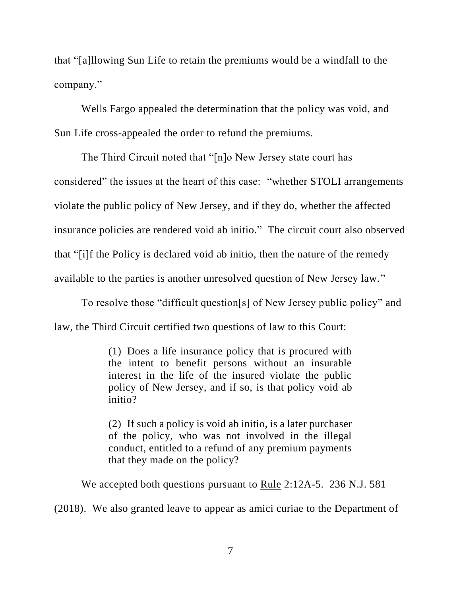that "[a]llowing Sun Life to retain the premiums would be a windfall to the company."

Wells Fargo appealed the determination that the policy was void, and Sun Life cross-appealed the order to refund the premiums.

The Third Circuit noted that "[n]o New Jersey state court has considered" the issues at the heart of this case: "whether STOLI arrangements violate the public policy of New Jersey, and if they do, whether the affected insurance policies are rendered void ab initio." The circuit court also observed that "[i]f the Policy is declared void ab initio, then the nature of the remedy available to the parties is another unresolved question of New Jersey law."

To resolve those "difficult question[s] of New Jersey public policy" and law, the Third Circuit certified two questions of law to this Court:

> (1) Does a life insurance policy that is procured with the intent to benefit persons without an insurable interest in the life of the insured violate the public policy of New Jersey, and if so, is that policy void ab initio?

> (2) If such a policy is void ab initio, is a later purchaser of the policy, who was not involved in the illegal conduct, entitled to a refund of any premium payments that they made on the policy?

We accepted both questions pursuant to Rule 2:12A-5. 236 N.J. 581

(2018). We also granted leave to appear as amici curiae to the Department of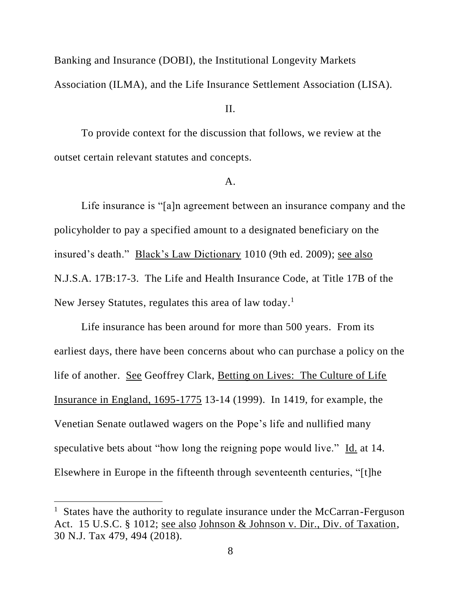Banking and Insurance (DOBI), the Institutional Longevity Markets

Association (ILMA), and the Life Insurance Settlement Association (LISA).

## II.

To provide context for the discussion that follows, we review at the outset certain relevant statutes and concepts.

## A.

Life insurance is "[a]n agreement between an insurance company and the policyholder to pay a specified amount to a designated beneficiary on the insured's death." Black's Law Dictionary 1010 (9th ed. 2009); see also N.J.S.A. 17B:17-3. The Life and Health Insurance Code, at Title 17B of the New Jersey Statutes, regulates this area of law today.<sup>1</sup>

Life insurance has been around for more than 500 years. From its earliest days, there have been concerns about who can purchase a policy on the life of another. See Geoffrey Clark, Betting on Lives: The Culture of Life Insurance in England, 1695-1775 13-14 (1999). In 1419, for example, the Venetian Senate outlawed wagers on the Pope's life and nullified many speculative bets about "how long the reigning pope would live." Id. at 14. Elsewhere in Europe in the fifteenth through seventeenth centuries, "[t]he

 $\overline{\phantom{a}}$ 

States have the authority to regulate insurance under the McCarran-Ferguson Act. 15 U.S.C. § 1012; see also Johnson & Johnson v. Dir., Div. of Taxation, 30 N.J. Tax 479, 494 (2018).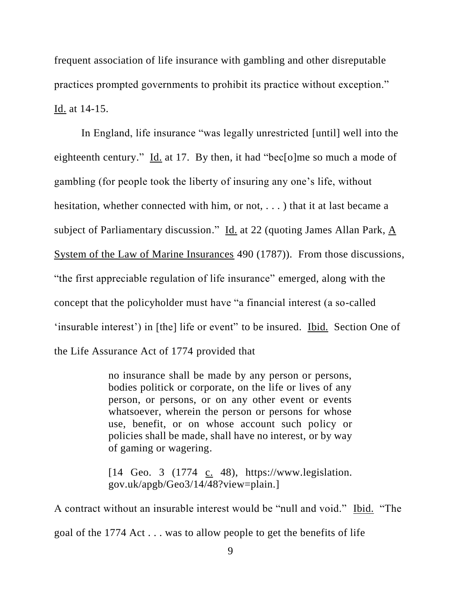frequent association of life insurance with gambling and other disreputable practices prompted governments to prohibit its practice without exception." Id. at 14-15.

In England, life insurance "was legally unrestricted [until] well into the eighteenth century." Id. at 17. By then, it had "bec[o]me so much a mode of gambling (for people took the liberty of insuring any one's life, without hesitation, whether connected with him, or not, . . . ) that it at last became a subject of Parliamentary discussion." Id. at 22 (quoting James Allan Park,  $\underline{A}$ System of the Law of Marine Insurances 490 (1787)). From those discussions, "the first appreciable regulation of life insurance" emerged, along with the concept that the policyholder must have "a financial interest (a so-called 'insurable interest') in [the] life or event" to be insured. Ibid. Section One of the Life Assurance Act of 1774 provided that

> no insurance shall be made by any person or persons, bodies politick or corporate, on the life or lives of any person, or persons, or on any other event or events whatsoever, wherein the person or persons for whose use, benefit, or on whose account such policy or policies shall be made, shall have no interest, or by way of gaming or wagering.

> [14 Geo. 3 (1774 c. 48), https://www.legislation. gov.uk/apgb/Geo3/14/48?view=plain.]

A contract without an insurable interest would be "null and void." Ibid. "The goal of the 1774 Act . . . was to allow people to get the benefits of life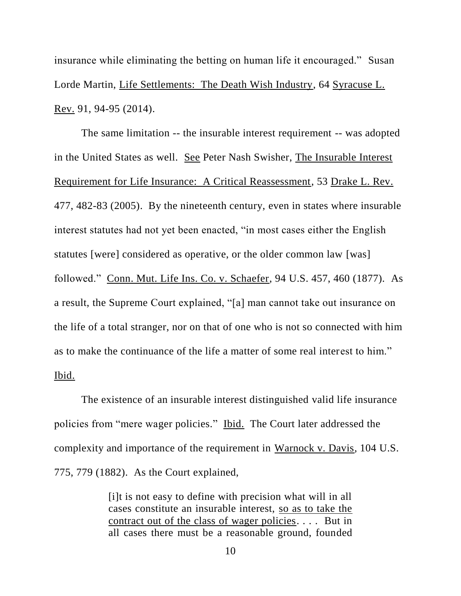insurance while eliminating the betting on human life it encouraged." Susan Lorde Martin, Life Settlements: The Death Wish Industry, 64 Syracuse L. Rev. 91, 94-95 (2014).

The same limitation -- the insurable interest requirement -- was adopted in the United States as well. See Peter Nash Swisher, The Insurable Interest Requirement for Life Insurance: A Critical Reassessment, 53 Drake L. Rev. 477, 482-83 (2005). By the nineteenth century, even in states where insurable interest statutes had not yet been enacted, "in most cases either the English statutes [were] considered as operative, or the older common law [was] followed." Conn. Mut. Life Ins. Co. v. Schaefer, 94 U.S. 457, 460 (1877). As a result, the Supreme Court explained, "[a] man cannot take out insurance on the life of a total stranger, nor on that of one who is not so connected with him as to make the continuance of the life a matter of some real interest to him." Ibid.

The existence of an insurable interest distinguished valid life insurance policies from "mere wager policies." Ibid. The Court later addressed the complexity and importance of the requirement in Warnock v. Davis, 104 U.S. 775, 779 (1882). As the Court explained,

> [i]t is not easy to define with precision what will in all cases constitute an insurable interest, so as to take the contract out of the class of wager policies. . . . But in all cases there must be a reasonable ground, founded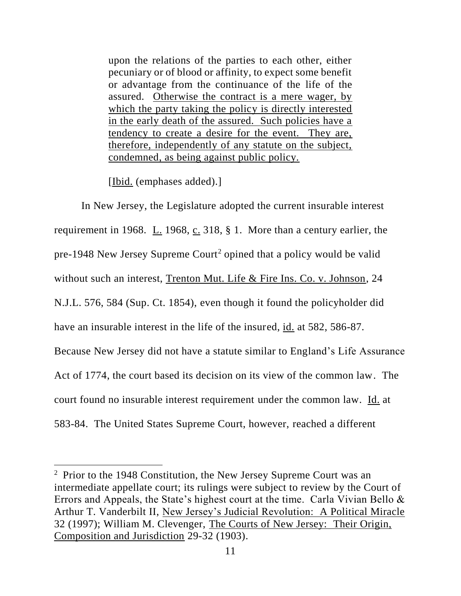upon the relations of the parties to each other, either pecuniary or of blood or affinity, to expect some benefit or advantage from the continuance of the life of the assured. Otherwise the contract is a mere wager, by which the party taking the policy is directly interested in the early death of the assured. Such policies have a tendency to create a desire for the event. They are, therefore, independently of any statute on the subject, condemned, as being against public policy.

[Ibid. (emphases added).]

 $\overline{a}$ 

In New Jersey, the Legislature adopted the current insurable interest requirement in 1968. L. 1968, c. 318,  $\S$  1. More than a century earlier, the pre-1948 New Jersey Supreme Court<sup>2</sup> opined that a policy would be valid without such an interest, Trenton Mut. Life & Fire Ins. Co. v. Johnson, 24 N.J.L. 576, 584 (Sup. Ct. 1854), even though it found the policyholder did have an insurable interest in the life of the insured, id. at 582, 586-87. Because New Jersey did not have a statute similar to England's Life Assurance Act of 1774, the court based its decision on its view of the common law. The court found no insurable interest requirement under the common law. Id. at 583-84. The United States Supreme Court, however, reached a different

 $2$  Prior to the 1948 Constitution, the New Jersey Supreme Court was an intermediate appellate court; its rulings were subject to review by the Court of Errors and Appeals, the State's highest court at the time. Carla Vivian Bello & Arthur T. Vanderbilt II, New Jersey's Judicial Revolution: A Political Miracle 32 (1997); William M. Clevenger, The Courts of New Jersey: Their Origin, Composition and Jurisdiction 29-32 (1903).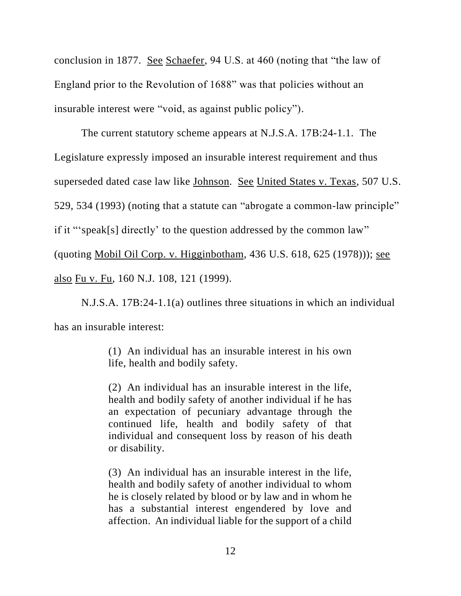conclusion in 1877. See Schaefer, 94 U.S. at 460 (noting that "the law of England prior to the Revolution of 1688" was that policies without an insurable interest were "void, as against public policy").

The current statutory scheme appears at N.J.S.A. 17B:24-1.1. The Legislature expressly imposed an insurable interest requirement and thus superseded dated case law like Johnson. See United States v. Texas, 507 U.S. 529, 534 (1993) (noting that a statute can "abrogate a common-law principle" if it "'speak[s] directly' to the question addressed by the common law" (quoting Mobil Oil Corp. v. Higginbotham, 436 U.S. 618, 625 (1978))); see also Fu v. Fu, 160 N.J. 108, 121 (1999).

N.J.S.A. 17B:24-1.1(a) outlines three situations in which an individual has an insurable interest:

> (1) An individual has an insurable interest in his own life, health and bodily safety.

> (2) An individual has an insurable interest in the life, health and bodily safety of another individual if he has an expectation of pecuniary advantage through the continued life, health and bodily safety of that individual and consequent loss by reason of his death or disability.

> (3) An individual has an insurable interest in the life, health and bodily safety of another individual to whom he is closely related by blood or by law and in whom he has a substantial interest engendered by love and affection. An individual liable for the support of a child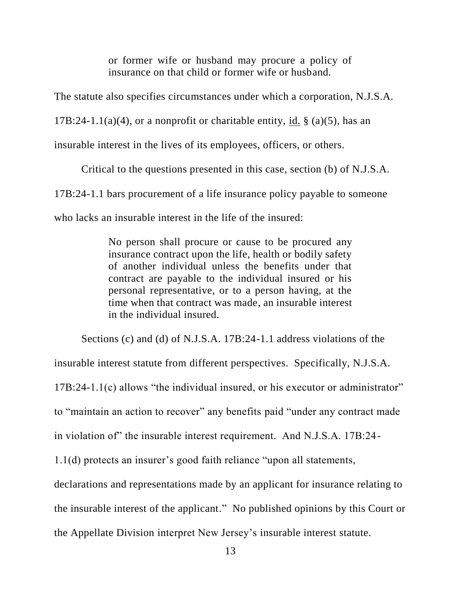or former wife or husband may procure a policy of insurance on that child or former wife or husband.

The statute also specifies circumstances under which a corporation, N.J.S.A.

 $17B:24-1.1(a)(4)$ , or a nonprofit or charitable entity, id. § (a)(5), has an

insurable interest in the lives of its employees, officers, or others.

Critical to the questions presented in this case, section (b) of N.J.S.A. 17B:24-1.1 bars procurement of a life insurance policy payable to someone who lacks an insurable interest in the life of the insured:

> No person shall procure or cause to be procured any insurance contract upon the life, health or bodily safety of another individual unless the benefits under that contract are payable to the individual insured or his personal representative, or to a person having, at the time when that contract was made, an insurable interest in the individual insured.

Sections (c) and (d) of N.J.S.A. 17B:24-1.1 address violations of the insurable interest statute from different perspectives. Specifically, N.J.S.A. 17B:24-1.1(c) allows "the individual insured, or his executor or administrator" to "maintain an action to recover" any benefits paid "under any contract made in violation of" the insurable interest requirement. And N.J.S.A. 17B:24- 1.1(d) protects an insurer's good faith reliance "upon all statements, declarations and representations made by an applicant for insurance relating to the insurable interest of the applicant." No published opinions by this Court or

the Appellate Division interpret New Jersey's insurable interest statute.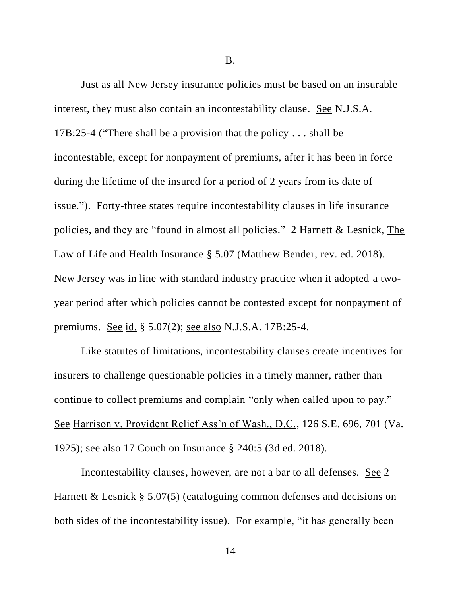B.

Just as all New Jersey insurance policies must be based on an insurable interest, they must also contain an incontestability clause. See N.J.S.A. 17B:25-4 ("There shall be a provision that the policy . . . shall be incontestable, except for nonpayment of premiums, after it has been in force during the lifetime of the insured for a period of 2 years from its date of issue."). Forty-three states require incontestability clauses in life insurance policies, and they are "found in almost all policies." 2 Harnett & Lesnick, The Law of Life and Health Insurance § 5.07 (Matthew Bender, rev. ed. 2018). New Jersey was in line with standard industry practice when it adopted a twoyear period after which policies cannot be contested except for nonpayment of premiums. See id. § 5.07(2); see also N.J.S.A. 17B:25-4.

Like statutes of limitations, incontestability clauses create incentives for insurers to challenge questionable policies in a timely manner, rather than continue to collect premiums and complain "only when called upon to pay." See Harrison v. Provident Relief Ass'n of Wash., D.C., 126 S.E. 696, 701 (Va. 1925); see also 17 Couch on Insurance § 240:5 (3d ed. 2018).

Incontestability clauses, however, are not a bar to all defenses. See 2 Harnett & Lesnick § 5.07(5) (cataloguing common defenses and decisions on both sides of the incontestability issue). For example, "it has generally been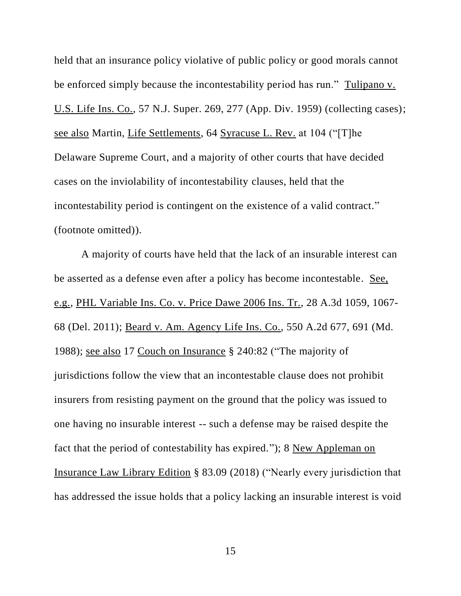held that an insurance policy violative of public policy or good morals cannot be enforced simply because the incontestability period has run." Tulipano v. U.S. Life Ins. Co., 57 N.J. Super. 269, 277 (App. Div. 1959) (collecting cases); see also Martin, Life Settlements, 64 Syracuse L. Rev. at 104 ("[T]he Delaware Supreme Court, and a majority of other courts that have decided cases on the inviolability of incontestability clauses, held that the incontestability period is contingent on the existence of a valid contract." (footnote omitted)).

A majority of courts have held that the lack of an insurable interest can be asserted as a defense even after a policy has become incontestable. See, e.g., PHL Variable Ins. Co. v. Price Dawe 2006 Ins. Tr., 28 A.3d 1059, 1067- 68 (Del. 2011); Beard v. Am. Agency Life Ins. Co., 550 A.2d 677, 691 (Md. 1988); see also 17 Couch on Insurance § 240:82 ("The majority of jurisdictions follow the view that an incontestable clause does not prohibit insurers from resisting payment on the ground that the policy was issued to one having no insurable interest -- such a defense may be raised despite the fact that the period of contestability has expired."); 8 New Appleman on Insurance Law Library Edition § 83.09 (2018) ("Nearly every jurisdiction that has addressed the issue holds that a policy lacking an insurable interest is void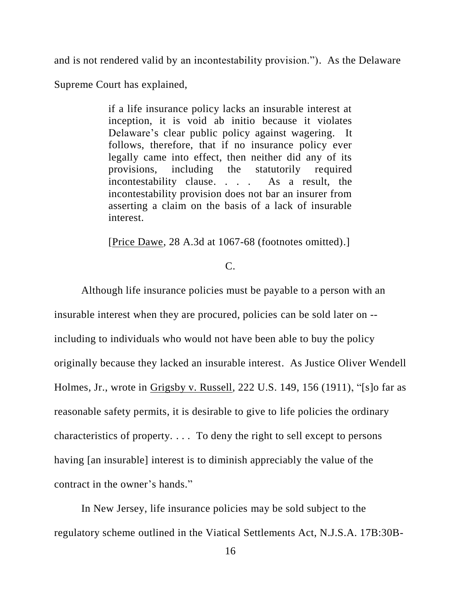and is not rendered valid by an incontestability provision."). As the Delaware

Supreme Court has explained,

if a life insurance policy lacks an insurable interest at inception, it is void ab initio because it violates Delaware's clear public policy against wagering. It follows, therefore, that if no insurance policy ever legally came into effect, then neither did any of its provisions, including the statutorily required incontestability clause. . . . As a result, the incontestability provision does not bar an insurer from asserting a claim on the basis of a lack of insurable interest.

[Price Dawe, 28 A.3d at 1067-68 (footnotes omitted).]

# $C<sub>c</sub>$

Although life insurance policies must be payable to a person with an insurable interest when they are procured, policies can be sold later on - including to individuals who would not have been able to buy the policy originally because they lacked an insurable interest. As Justice Oliver Wendell Holmes, Jr., wrote in Grigsby v. Russell, 222 U.S. 149, 156 (1911), "[s]o far as reasonable safety permits, it is desirable to give to life policies the ordinary characteristics of property. . . . To deny the right to sell except to persons having [an insurable] interest is to diminish appreciably the value of the contract in the owner's hands."

In New Jersey, life insurance policies may be sold subject to the regulatory scheme outlined in the Viatical Settlements Act, N.J.S.A. 17B:30B-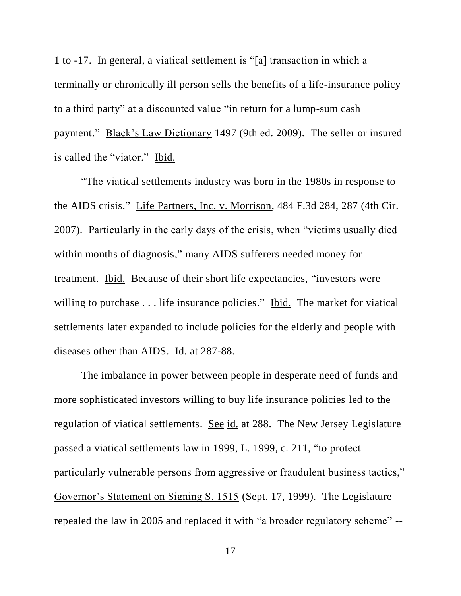1 to -17. In general, a viatical settlement is "[a] transaction in which a terminally or chronically ill person sells the benefits of a life-insurance policy to a third party" at a discounted value "in return for a lump-sum cash payment." Black's Law Dictionary 1497 (9th ed. 2009). The seller or insured is called the "viator." Ibid.

"The viatical settlements industry was born in the 1980s in response to the AIDS crisis." Life Partners, Inc. v. Morrison, 484 F.3d 284, 287 (4th Cir. 2007). Particularly in the early days of the crisis, when "victims usually died within months of diagnosis," many AIDS sufferers needed money for treatment. Ibid. Because of their short life expectancies, "investors were willing to purchase . . . life insurance policies." Ibid. The market for viatical settlements later expanded to include policies for the elderly and people with diseases other than AIDS. Id. at 287-88.

The imbalance in power between people in desperate need of funds and more sophisticated investors willing to buy life insurance policies led to the regulation of viatical settlements. See id. at 288. The New Jersey Legislature passed a viatical settlements law in 1999, L. 1999, c. 211, "to protect particularly vulnerable persons from aggressive or fraudulent business tactics," Governor's Statement on Signing S. 1515 (Sept. 17, 1999). The Legislature repealed the law in 2005 and replaced it with "a broader regulatory scheme" --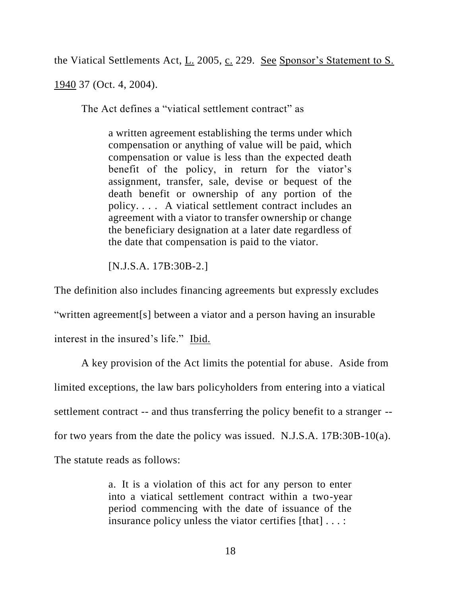the Viatical Settlements Act, <u>L.</u> 2005, c. 229. See Sponsor's Statement to S.

1940 37 (Oct. 4, 2004).

The Act defines a "viatical settlement contract" as

a written agreement establishing the terms under which compensation or anything of value will be paid, which compensation or value is less than the expected death benefit of the policy, in return for the viator's assignment, transfer, sale, devise or bequest of the death benefit or ownership of any portion of the policy. . . . A viatical settlement contract includes an agreement with a viator to transfer ownership or change the beneficiary designation at a later date regardless of the date that compensation is paid to the viator.

[N.J.S.A. 17B:30B-2.]

The definition also includes financing agreements but expressly excludes "written agreement[s] between a viator and a person having an insurable interest in the insured's life." Ibid.

A key provision of the Act limits the potential for abuse. Aside from limited exceptions, the law bars policyholders from entering into a viatical settlement contract -- and thus transferring the policy benefit to a stranger - for two years from the date the policy was issued. N.J.S.A. 17B:30B-10(a). The statute reads as follows:

> a. It is a violation of this act for any person to enter into a viatical settlement contract within a two-year period commencing with the date of issuance of the insurance policy unless the viator certifies [that] . . . :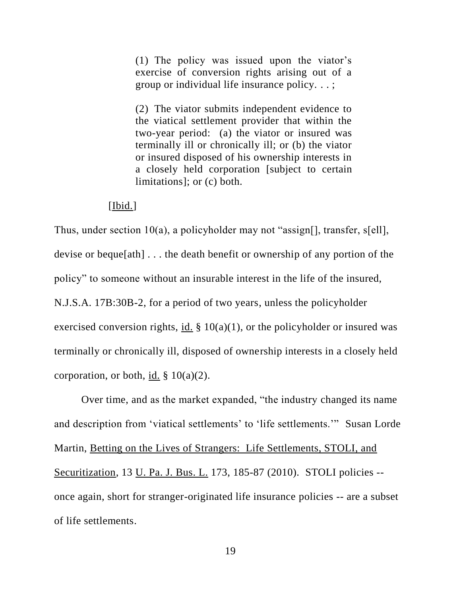(1) The policy was issued upon the viator's exercise of conversion rights arising out of a group or individual life insurance policy. . . ;

(2) The viator submits independent evidence to the viatical settlement provider that within the two-year period: (a) the viator or insured was terminally ill or chronically ill; or (b) the viator or insured disposed of his ownership interests in a closely held corporation [subject to certain limitations]; or (c) both.

## $[\underline{Ibid.}]$

Thus, under section 10(a), a policyholder may not "assign[], transfer, s[ell], devise or beque[ath] . . . the death benefit or ownership of any portion of the policy" to someone without an insurable interest in the life of the insured, N.J.S.A. 17B:30B-2, for a period of two years, unless the policyholder exercised conversion rights, id.  $\S$  10(a)(1), or the policyholder or insured was terminally or chronically ill, disposed of ownership interests in a closely held corporation, or both, id.  $\S$  10(a)(2).

Over time, and as the market expanded, "the industry changed its name and description from 'viatical settlements' to 'life settlements.'" Susan Lorde Martin, Betting on the Lives of Strangers: Life Settlements, STOLI, and Securitization, 13 U. Pa. J. Bus. L. 173, 185-87 (2010). STOLI policies - once again, short for stranger-originated life insurance policies -- are a subset of life settlements.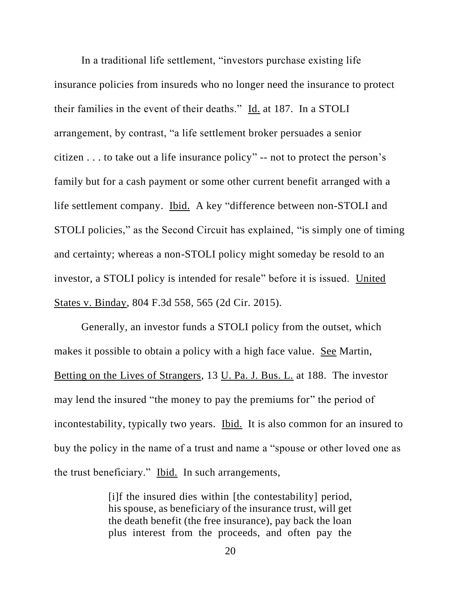In a traditional life settlement, "investors purchase existing life insurance policies from insureds who no longer need the insurance to protect their families in the event of their deaths." Id. at 187. In a STOLI arrangement, by contrast, "a life settlement broker persuades a senior citizen . . . to take out a life insurance policy" -- not to protect the person's family but for a cash payment or some other current benefit arranged with a life settlement company. Ibid. A key "difference between non-STOLI and STOLI policies," as the Second Circuit has explained, "is simply one of timing and certainty; whereas a non-STOLI policy might someday be resold to an investor, a STOLI policy is intended for resale" before it is issued. United States v. Binday, 804 F.3d 558, 565 (2d Cir. 2015).

Generally, an investor funds a STOLI policy from the outset, which makes it possible to obtain a policy with a high face value. See Martin, Betting on the Lives of Strangers, 13 U. Pa. J. Bus. L. at 188. The investor may lend the insured "the money to pay the premiums for" the period of incontestability, typically two years. Ibid. It is also common for an insured to buy the policy in the name of a trust and name a "spouse or other loved one as the trust beneficiary." Ibid. In such arrangements,

> [i]f the insured dies within [the contestability] period, his spouse, as beneficiary of the insurance trust, will get the death benefit (the free insurance), pay back the loan plus interest from the proceeds, and often pay the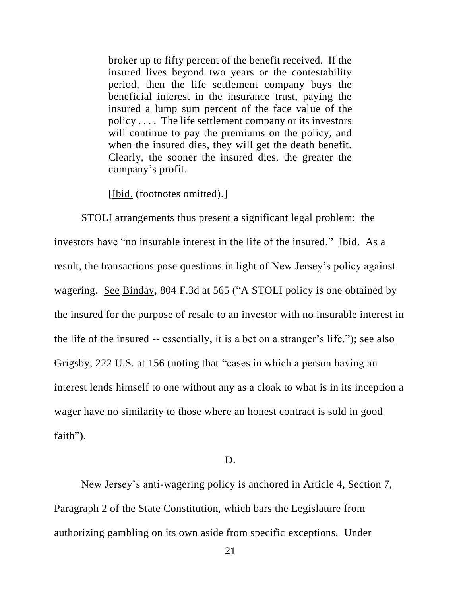broker up to fifty percent of the benefit received. If the insured lives beyond two years or the contestability period, then the life settlement company buys the beneficial interest in the insurance trust, paying the insured a lump sum percent of the face value of the policy . . . . The life settlement company or its investors will continue to pay the premiums on the policy, and when the insured dies, they will get the death benefit. Clearly, the sooner the insured dies, the greater the company's profit.

[Ibid. (footnotes omitted).]

STOLI arrangements thus present a significant legal problem: the investors have "no insurable interest in the life of the insured." Ibid.As a result, the transactions pose questions in light of New Jersey's policy against wagering. See Binday, 804 F.3d at 565 ("A STOLI policy is one obtained by the insured for the purpose of resale to an investor with no insurable interest in the life of the insured -- essentially, it is a bet on a stranger's life."); see also Grigsby, 222 U.S. at 156 (noting that "cases in which a person having an interest lends himself to one without any as a cloak to what is in its inception a wager have no similarity to those where an honest contract is sold in good faith").

### D.

New Jersey's anti-wagering policy is anchored in Article 4, Section 7, Paragraph 2 of the State Constitution, which bars the Legislature from authorizing gambling on its own aside from specific exceptions. Under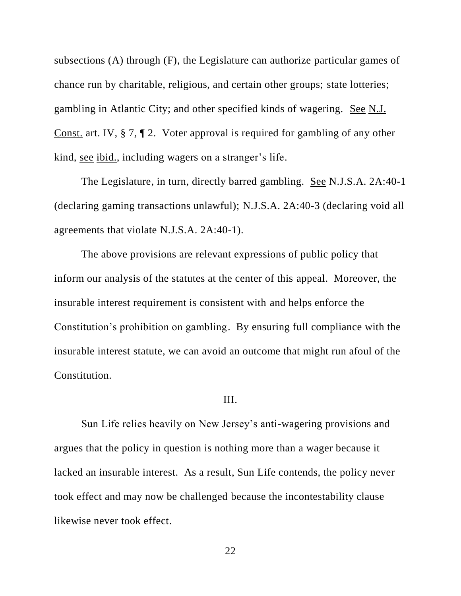subsections (A) through (F), the Legislature can authorize particular games of chance run by charitable, religious, and certain other groups; state lotteries; gambling in Atlantic City; and other specified kinds of wagering. See N.J. Const. art. IV, § 7, ¶ 2. Voter approval is required for gambling of any other kind, see ibid., including wagers on a stranger's life.

The Legislature, in turn, directly barred gambling. See N.J.S.A. 2A:40-1 (declaring gaming transactions unlawful); N.J.S.A. 2A:40-3 (declaring void all agreements that violate N.J.S.A. 2A:40-1).

The above provisions are relevant expressions of public policy that inform our analysis of the statutes at the center of this appeal. Moreover, the insurable interest requirement is consistent with and helps enforce the Constitution's prohibition on gambling. By ensuring full compliance with the insurable interest statute, we can avoid an outcome that might run afoul of the Constitution.

#### III.

Sun Life relies heavily on New Jersey's anti-wagering provisions and argues that the policy in question is nothing more than a wager because it lacked an insurable interest. As a result, Sun Life contends, the policy never took effect and may now be challenged because the incontestability clause likewise never took effect.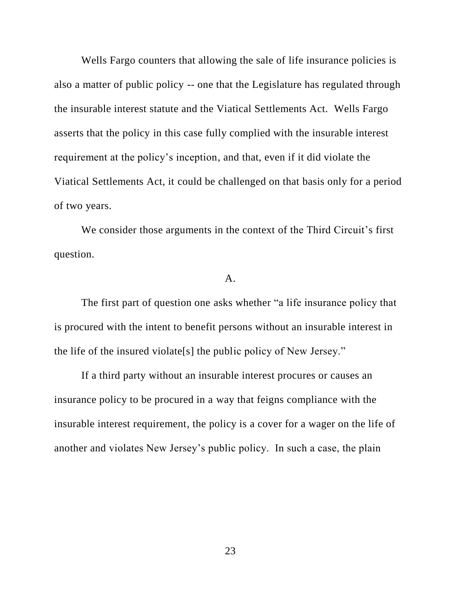Wells Fargo counters that allowing the sale of life insurance policies is also a matter of public policy -- one that the Legislature has regulated through the insurable interest statute and the Viatical Settlements Act. Wells Fargo asserts that the policy in this case fully complied with the insurable interest requirement at the policy's inception, and that, even if it did violate the Viatical Settlements Act, it could be challenged on that basis only for a period of two years.

We consider those arguments in the context of the Third Circuit's first question.

#### $A<sub>1</sub>$

The first part of question one asks whether "a life insurance policy that is procured with the intent to benefit persons without an insurable interest in the life of the insured violate[s] the public policy of New Jersey."

If a third party without an insurable interest procures or causes an insurance policy to be procured in a way that feigns compliance with the insurable interest requirement, the policy is a cover for a wager on the life of another and violates New Jersey's public policy. In such a case, the plain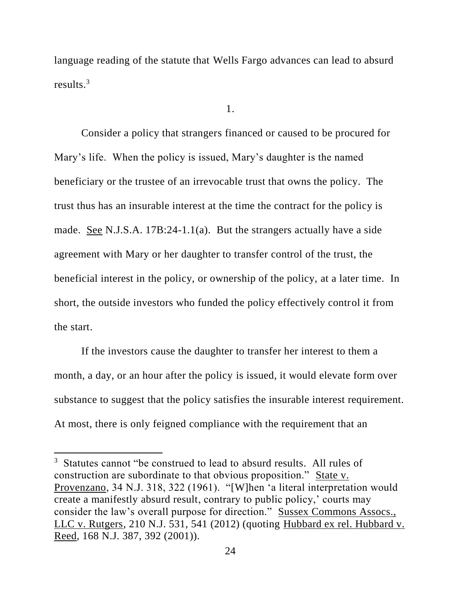language reading of the statute that Wells Fargo advances can lead to absurd results. $3$ 

1.

Consider a policy that strangers financed or caused to be procured for Mary's life. When the policy is issued, Mary's daughter is the named beneficiary or the trustee of an irrevocable trust that owns the policy. The trust thus has an insurable interest at the time the contract for the policy is made. <u>See</u> N.J.S.A. 17B:24-1.1(a). But the strangers actually have a side agreement with Mary or her daughter to transfer control of the trust, the beneficial interest in the policy, or ownership of the policy, at a later time. In short, the outside investors who funded the policy effectively control it from the start.

If the investors cause the daughter to transfer her interest to them a month, a day, or an hour after the policy is issued, it would elevate form over substance to suggest that the policy satisfies the insurable interest requirement. At most, there is only feigned compliance with the requirement that an

 $\overline{a}$ 

<sup>&</sup>lt;sup>3</sup> Statutes cannot "be construed to lead to absurd results. All rules of construction are subordinate to that obvious proposition." State v. Provenzano, 34 N.J. 318, 322 (1961). "[W]hen 'a literal interpretation would create a manifestly absurd result, contrary to public policy,' courts may consider the law's overall purpose for direction." Sussex Commons Assocs., LLC v. Rutgers, 210 N.J. 531, 541 (2012) (quoting Hubbard ex rel. Hubbard v. Reed, 168 N.J. 387, 392 (2001)).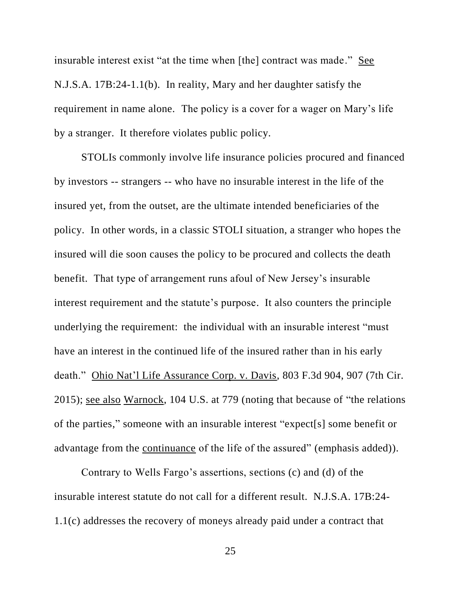insurable interest exist "at the time when [the] contract was made." See N.J.S.A. 17B:24-1.1(b). In reality, Mary and her daughter satisfy the requirement in name alone. The policy is a cover for a wager on Mary's life by a stranger. It therefore violates public policy.

STOLIs commonly involve life insurance policies procured and financed by investors -- strangers -- who have no insurable interest in the life of the insured yet, from the outset, are the ultimate intended beneficiaries of the policy. In other words, in a classic STOLI situation, a stranger who hopes the insured will die soon causes the policy to be procured and collects the death benefit. That type of arrangement runs afoul of New Jersey's insurable interest requirement and the statute's purpose. It also counters the principle underlying the requirement: the individual with an insurable interest "must have an interest in the continued life of the insured rather than in his early death." Ohio Nat'l Life Assurance Corp. v. Davis, 803 F.3d 904, 907 (7th Cir. 2015); see also Warnock, 104 U.S. at 779 (noting that because of "the relations of the parties," someone with an insurable interest "expect[s] some benefit or advantage from the continuance of the life of the assured" (emphasis added)).

Contrary to Wells Fargo's assertions, sections (c) and (d) of the insurable interest statute do not call for a different result. N.J.S.A. 17B:24- 1.1(c) addresses the recovery of moneys already paid under a contract that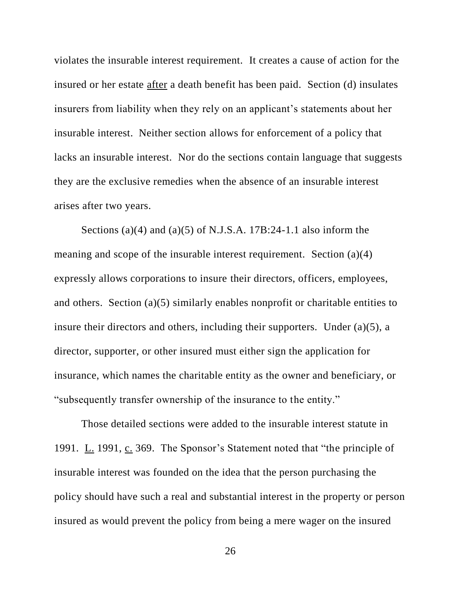violates the insurable interest requirement. It creates a cause of action for the insured or her estate after a death benefit has been paid. Section (d) insulates insurers from liability when they rely on an applicant's statements about her insurable interest. Neither section allows for enforcement of a policy that lacks an insurable interest. Nor do the sections contain language that suggests they are the exclusive remedies when the absence of an insurable interest arises after two years.

Sections (a)(4) and (a)(5) of N.J.S.A. 17B:24-1.1 also inform the meaning and scope of the insurable interest requirement. Section (a)(4) expressly allows corporations to insure their directors, officers, employees, and others. Section (a)(5) similarly enables nonprofit or charitable entities to insure their directors and others, including their supporters. Under (a)(5), a director, supporter, or other insured must either sign the application for insurance, which names the charitable entity as the owner and beneficiary, or "subsequently transfer ownership of the insurance to the entity."

Those detailed sections were added to the insurable interest statute in 1991. L. 1991, c. 369. The Sponsor's Statement noted that "the principle of insurable interest was founded on the idea that the person purchasing the policy should have such a real and substantial interest in the property or person insured as would prevent the policy from being a mere wager on the insured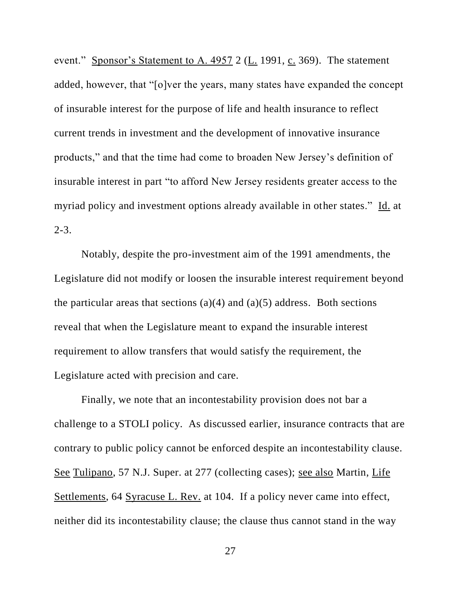event." Sponsor's Statement to A. 4957 2 (L. 1991, c. 369). The statement added, however, that "[o]ver the years, many states have expanded the concept of insurable interest for the purpose of life and health insurance to reflect current trends in investment and the development of innovative insurance products," and that the time had come to broaden New Jersey's definition of insurable interest in part "to afford New Jersey residents greater access to the myriad policy and investment options already available in other states." Id. at  $2 - 3$ .

Notably, despite the pro-investment aim of the 1991 amendments, the Legislature did not modify or loosen the insurable interest requirement beyond the particular areas that sections (a)(4) and (a)(5) address. Both sections reveal that when the Legislature meant to expand the insurable interest requirement to allow transfers that would satisfy the requirement, the Legislature acted with precision and care.

Finally, we note that an incontestability provision does not bar a challenge to a STOLI policy. As discussed earlier, insurance contracts that are contrary to public policy cannot be enforced despite an incontestability clause. See Tulipano, 57 N.J. Super. at 277 (collecting cases); see also Martin, Life Settlements, 64 Syracuse L. Rev. at 104. If a policy never came into effect, neither did its incontestability clause; the clause thus cannot stand in the way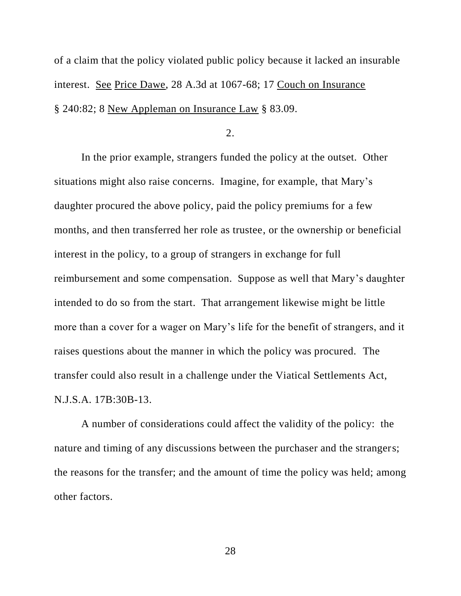of a claim that the policy violated public policy because it lacked an insurable interest. See Price Dawe, 28 A.3d at 1067-68; 17 Couch on Insurance § 240:82; 8 New Appleman on Insurance Law § 83.09.

2.

In the prior example, strangers funded the policy at the outset. Other situations might also raise concerns. Imagine, for example, that Mary's daughter procured the above policy, paid the policy premiums for a few months, and then transferred her role as trustee, or the ownership or beneficial interest in the policy, to a group of strangers in exchange for full reimbursement and some compensation. Suppose as well that Mary's daughter intended to do so from the start. That arrangement likewise might be little more than a cover for a wager on Mary's life for the benefit of strangers, and it raises questions about the manner in which the policy was procured. The transfer could also result in a challenge under the Viatical Settlements Act, N.J.S.A. 17B:30B-13.

A number of considerations could affect the validity of the policy: the nature and timing of any discussions between the purchaser and the strangers; the reasons for the transfer; and the amount of time the policy was held; among other factors.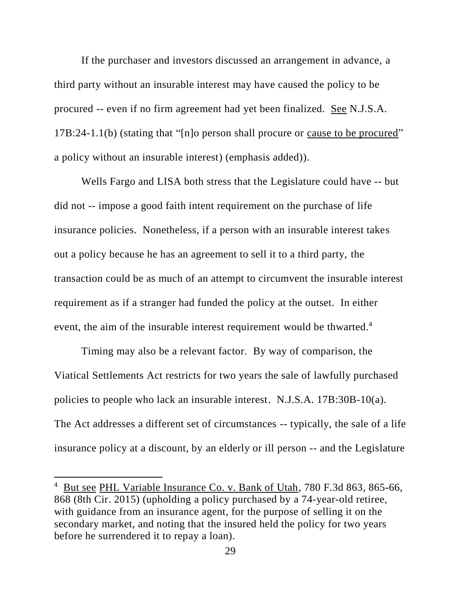If the purchaser and investors discussed an arrangement in advance, a third party without an insurable interest may have caused the policy to be procured -- even if no firm agreement had yet been finalized. See N.J.S.A. 17B:24-1.1(b) (stating that "[n]o person shall procure or cause to be procured" a policy without an insurable interest) (emphasis added)).

Wells Fargo and LISA both stress that the Legislature could have -- but did not -- impose a good faith intent requirement on the purchase of life insurance policies. Nonetheless, if a person with an insurable interest takes out a policy because he has an agreement to sell it to a third party, the transaction could be as much of an attempt to circumvent the insurable interest requirement as if a stranger had funded the policy at the outset. In either event, the aim of the insurable interest requirement would be thwarted.<sup>4</sup>

Timing may also be a relevant factor. By way of comparison, the Viatical Settlements Act restricts for two years the sale of lawfully purchased policies to people who lack an insurable interest. N.J.S.A. 17B:30B-10(a). The Act addresses a different set of circumstances -- typically, the sale of a life insurance policy at a discount, by an elderly or ill person -- and the Legislature

 $\overline{\phantom{a}}$ 

<sup>&</sup>lt;sup>4</sup> But see PHL Variable Insurance Co. v. Bank of Utah, 780 F.3d 863, 865-66, 868 (8th Cir. 2015) (upholding a policy purchased by a 74-year-old retiree, with guidance from an insurance agent, for the purpose of selling it on the secondary market, and noting that the insured held the policy for two years before he surrendered it to repay a loan).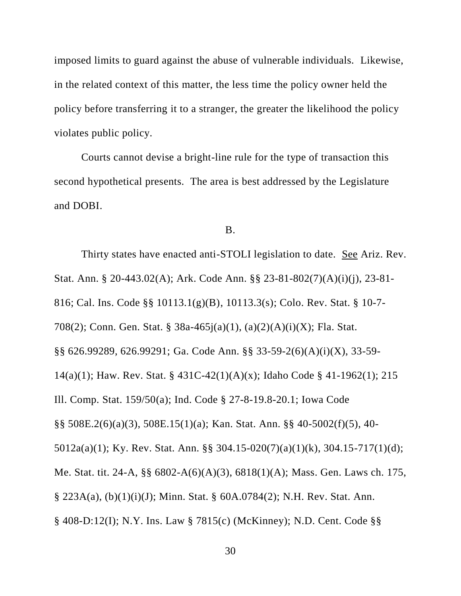imposed limits to guard against the abuse of vulnerable individuals. Likewise, in the related context of this matter, the less time the policy owner held the policy before transferring it to a stranger, the greater the likelihood the policy violates public policy.

Courts cannot devise a bright-line rule for the type of transaction this second hypothetical presents. The area is best addressed by the Legislature and DOBI.

## B.

Thirty states have enacted anti-STOLI legislation to date. See Ariz. Rev. Stat. Ann. § 20-443.02(A); Ark. Code Ann. §§ 23-81-802(7)(A)(i)(j), 23-81- 816; Cal. Ins. Code §§ 10113.1(g)(B), 10113.3(s); Colo. Rev. Stat. § 10-7- 708(2); Conn. Gen. Stat. § 38a-465j(a)(1), (a)(2)(A)(i)(X); Fla. Stat. §§ 626.99289, 626.99291; Ga. Code Ann. §§ 33-59-2(6)(A)(i)(X), 33-59- 14(a)(1); Haw. Rev. Stat. § 431C-42(1)(A)(x); Idaho Code § 41-1962(1); 215 Ill. Comp. Stat. 159/50(a); Ind. Code § 27-8-19.8-20.1; Iowa Code §§ 508E.2(6)(a)(3), 508E.15(1)(a); Kan. Stat. Ann. §§ 40-5002(f)(5), 40- 5012a(a)(1); Ky. Rev. Stat. Ann. §§ 304.15-020(7)(a)(1)(k), 304.15-717(1)(d); Me. Stat. tit. 24-A, §§ 6802-A(6)(A)(3), 6818(1)(A); Mass. Gen. Laws ch. 175, § 223A(a), (b)(1)(i)(J); Minn. Stat. § 60A.0784(2); N.H. Rev. Stat. Ann. § 408-D:12(I); N.Y. Ins. Law § 7815(c) (McKinney); N.D. Cent. Code §§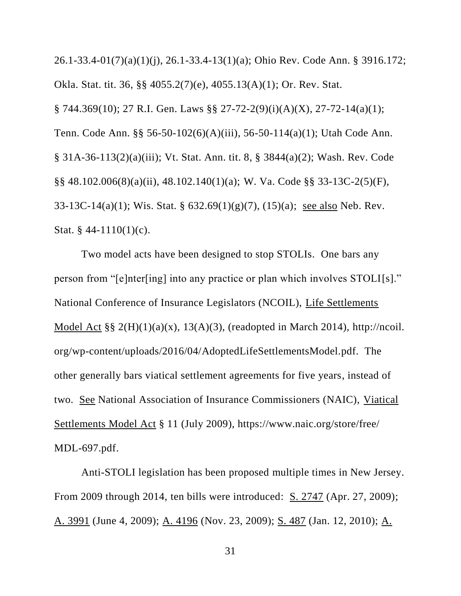26.1-33.4-01(7)(a)(1)(j), 26.1-33.4-13(1)(a); Ohio Rev. Code Ann. § 3916.172; Okla. Stat. tit. 36, §§ 4055.2(7)(e), 4055.13(A)(1); Or. Rev. Stat. § 744.369(10); 27 R.I. Gen. Laws §§ 27-72-2(9)(i)(A)(X), 27-72-14(a)(1); Tenn. Code Ann. §§ 56-50-102(6)(A)(iii), 56-50-114(a)(1); Utah Code Ann. § 31A-36-113(2)(a)(iii); Vt. Stat. Ann. tit. 8, § 3844(a)(2); Wash. Rev. Code §§ 48.102.006(8)(a)(ii), 48.102.140(1)(a); W. Va. Code §§ 33-13C-2(5)(F), 33-13C-14(a)(1); Wis. Stat. §  $632.69(1)(g)(7)$ ,  $(15)(a)$ ; <u>see also</u> Neb. Rev. Stat.  $§$  44-1110(1)(c).

Two model acts have been designed to stop STOLIs. One bars any person from "[e]nter[ing] into any practice or plan which involves STOLI[s]." National Conference of Insurance Legislators (NCOIL), Life Settlements Model Act  $\S$ § 2(H)(1)(a)(x), 13(A)(3), (readopted in March 2014), http://ncoil. org/wp-content/uploads/2016/04/AdoptedLifeSettlementsModel.pdf. The other generally bars viatical settlement agreements for five years, instead of two. See National Association of Insurance Commissioners (NAIC), Viatical Settlements Model Act § 11 (July 2009), https://www.naic.org/store/free/ MDL-697.pdf.

Anti-STOLI legislation has been proposed multiple times in New Jersey. From 2009 through 2014, ten bills were introduced: S. 2747 (Apr. 27, 2009); A. 3991 (June 4, 2009); A. 4196 (Nov. 23, 2009); S. 487 (Jan. 12, 2010); A.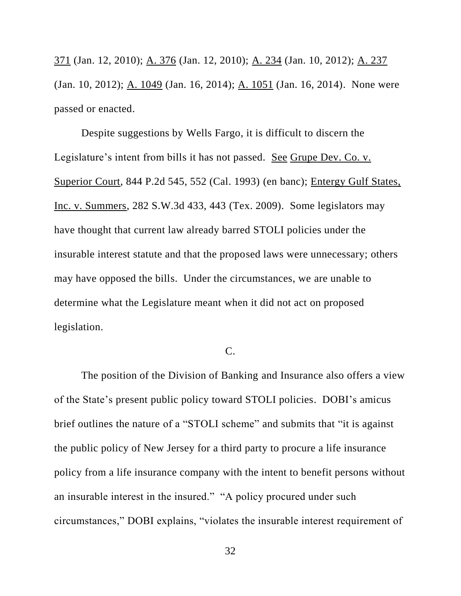371 (Jan. 12, 2010); A. 376 (Jan. 12, 2010); A. 234 (Jan. 10, 2012); A. 237 (Jan. 10, 2012); A. 1049 (Jan. 16, 2014); A. 1051 (Jan. 16, 2014). None were passed or enacted.

Despite suggestions by Wells Fargo, it is difficult to discern the Legislature's intent from bills it has not passed. See Grupe Dev. Co. v. Superior Court, 844 P.2d 545, 552 (Cal. 1993) (en banc); Entergy Gulf States, Inc. v. Summers, 282 S.W.3d 433, 443 (Tex. 2009). Some legislators may have thought that current law already barred STOLI policies under the insurable interest statute and that the proposed laws were unnecessary; others may have opposed the bills. Under the circumstances, we are unable to determine what the Legislature meant when it did not act on proposed legislation.

# C.

The position of the Division of Banking and Insurance also offers a view of the State's present public policy toward STOLI policies. DOBI's amicus brief outlines the nature of a "STOLI scheme" and submits that "it is against the public policy of New Jersey for a third party to procure a life insurance policy from a life insurance company with the intent to benefit persons without an insurable interest in the insured." "A policy procured under such circumstances," DOBI explains, "violates the insurable interest requirement of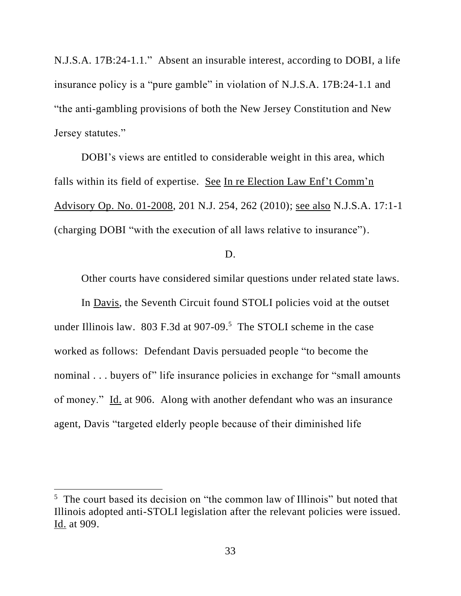N.J.S.A. 17B:24-1.1." Absent an insurable interest, according to DOBI, a life insurance policy is a "pure gamble" in violation of N.J.S.A. 17B:24-1.1 and "the anti-gambling provisions of both the New Jersey Constitution and New Jersey statutes."

DOBI's views are entitled to considerable weight in this area, which falls within its field of expertise. See In re Election Law Enf't Comm'n Advisory Op. No. 01-2008, 201 N.J. 254, 262 (2010); see also N.J.S.A. 17:1-1 (charging DOBI "with the execution of all laws relative to insurance").

# D.

Other courts have considered similar questions under related state laws.

In Davis, the Seventh Circuit found STOLI policies void at the outset under Illinois law. 803 F.3d at 907-09. 5 The STOLI scheme in the case worked as follows: Defendant Davis persuaded people "to become the nominal . . . buyers of" life insurance policies in exchange for "small amounts" of money." Id. at 906. Along with another defendant who was an insurance agent, Davis "targeted elderly people because of their diminished life

 $\overline{\phantom{a}}$ 

<sup>&</sup>lt;sup>5</sup> The court based its decision on "the common law of Illinois" but noted that Illinois adopted anti-STOLI legislation after the relevant policies were issued. Id. at 909.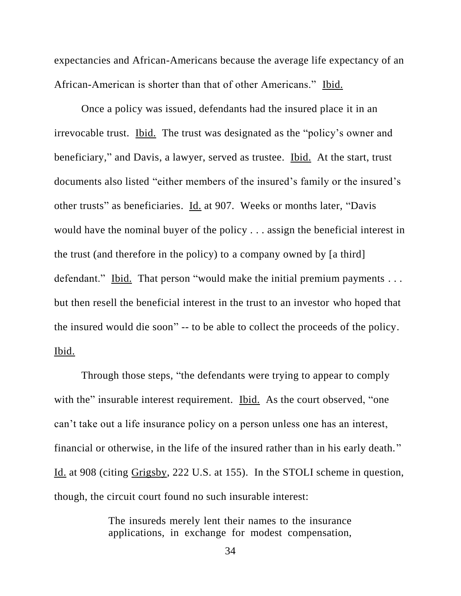expectancies and African-Americans because the average life expectancy of an African-American is shorter than that of other Americans." Ibid.

Once a policy was issued, defendants had the insured place it in an irrevocable trust. Ibid. The trust was designated as the "policy's owner and beneficiary," and Davis, a lawyer, served as trustee. Ibid. At the start, trust documents also listed "either members of the insured's family or the insured's other trusts" as beneficiaries. Id. at 907. Weeks or months later, "Davis would have the nominal buyer of the policy . . . assign the beneficial interest in the trust (and therefore in the policy) to a company owned by [a third] defendant." Ibid. That person "would make the initial premium payments . . . but then resell the beneficial interest in the trust to an investor who hoped that the insured would die soon" -- to be able to collect the proceeds of the policy. Ibid.

Through those steps, "the defendants were trying to appear to comply with the" insurable interest requirement. Ibid. As the court observed, "one can't take out a life insurance policy on a person unless one has an interest, financial or otherwise, in the life of the insured rather than in his early death." Id. at 908 (citing Grigsby, 222 U.S. at 155). In the STOLI scheme in question, though, the circuit court found no such insurable interest:

> The insureds merely lent their names to the insurance applications, in exchange for modest compensation,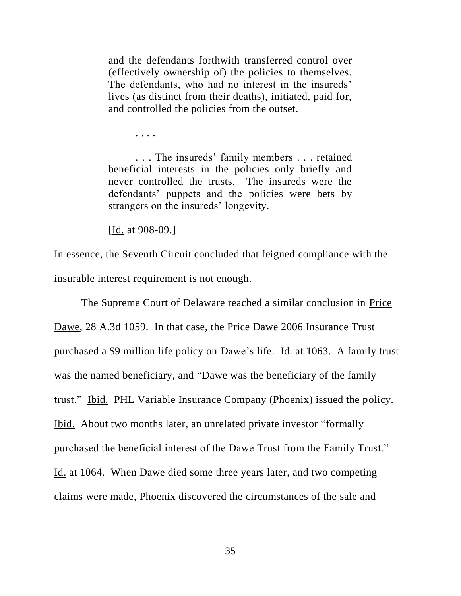and the defendants forthwith transferred control over (effectively ownership of) the policies to themselves. The defendants, who had no interest in the insureds' lives (as distinct from their deaths), initiated, paid for, and controlled the policies from the outset.

. . . The insureds' family members . . . retained beneficial interests in the policies only briefly and never controlled the trusts. The insureds were the defendants' puppets and the policies were bets by strangers on the insureds' longevity.

[ $\text{Id.}$  at 908-09.]

. . . .

In essence, the Seventh Circuit concluded that feigned compliance with the insurable interest requirement is not enough.

The Supreme Court of Delaware reached a similar conclusion in Price Dawe, 28 A.3d 1059. In that case, the Price Dawe 2006 Insurance Trust purchased a \$9 million life policy on Dawe's life. Id. at 1063. A family trust was the named beneficiary, and "Dawe was the beneficiary of the family trust." Ibid. PHL Variable Insurance Company (Phoenix) issued the policy. Ibid. About two months later, an unrelated private investor "formally purchased the beneficial interest of the Dawe Trust from the Family Trust." Id. at 1064. When Dawe died some three years later, and two competing claims were made, Phoenix discovered the circumstances of the sale and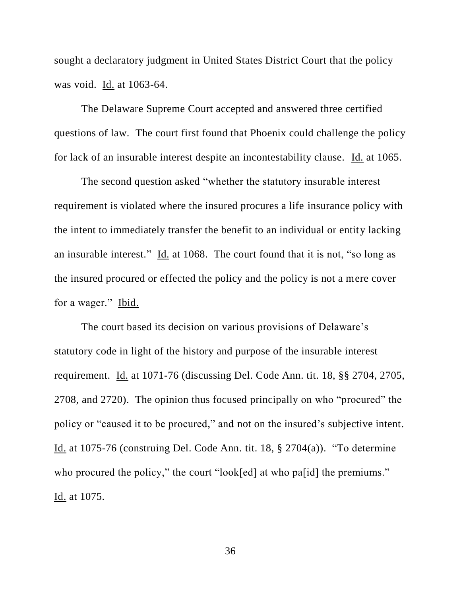sought a declaratory judgment in United States District Court that the policy was void. Id. at 1063-64.

The Delaware Supreme Court accepted and answered three certified questions of law. The court first found that Phoenix could challenge the policy for lack of an insurable interest despite an incontestability clause. Id. at 1065.

The second question asked "whether the statutory insurable interest requirement is violated where the insured procures a life insurance policy with the intent to immediately transfer the benefit to an individual or entity lacking an insurable interest." Id. at 1068. The court found that it is not, "so long as the insured procured or effected the policy and the policy is not a mere cover for a wager." Ibid.

The court based its decision on various provisions of Delaware's statutory code in light of the history and purpose of the insurable interest requirement. Id. at 1071-76 (discussing Del. Code Ann. tit. 18, §§ 2704, 2705, 2708, and 2720). The opinion thus focused principally on who "procured" the policy or "caused it to be procured," and not on the insured's subjective intent. Id. at 1075-76 (construing Del. Code Ann. tit. 18, § 2704(a)). "To determine who procured the policy," the court "look[ed] at who pa[id] the premiums." Id. at 1075.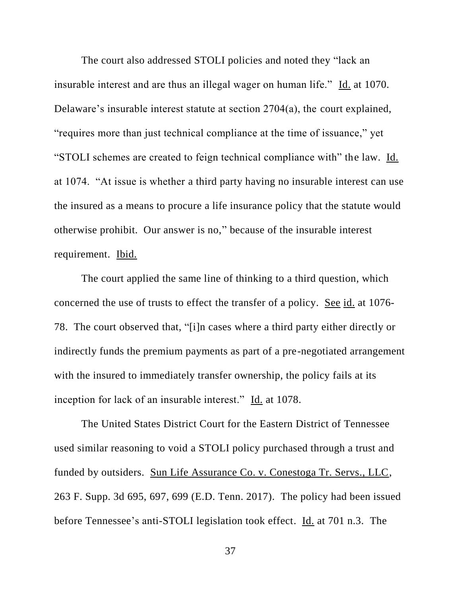The court also addressed STOLI policies and noted they "lack an insurable interest and are thus an illegal wager on human life." Id. at 1070. Delaware's insurable interest statute at section 2704(a), the court explained, "requires more than just technical compliance at the time of issuance," yet "STOLI schemes are created to feign technical compliance with" the law. Id. at 1074. "At issue is whether a third party having no insurable interest can use the insured as a means to procure a life insurance policy that the statute would otherwise prohibit. Our answer is no," because of the insurable interest requirement. Ibid.

The court applied the same line of thinking to a third question, which concerned the use of trusts to effect the transfer of a policy. See id. at 1076- 78. The court observed that, "[i]n cases where a third party either directly or indirectly funds the premium payments as part of a pre-negotiated arrangement with the insured to immediately transfer ownership, the policy fails at its inception for lack of an insurable interest." Id. at 1078.

The United States District Court for the Eastern District of Tennessee used similar reasoning to void a STOLI policy purchased through a trust and funded by outsiders. Sun Life Assurance Co. v. Conestoga Tr. Servs., LLC, 263 F. Supp. 3d 695, 697, 699 (E.D. Tenn. 2017). The policy had been issued before Tennessee's anti-STOLI legislation took effect. Id. at 701 n.3. The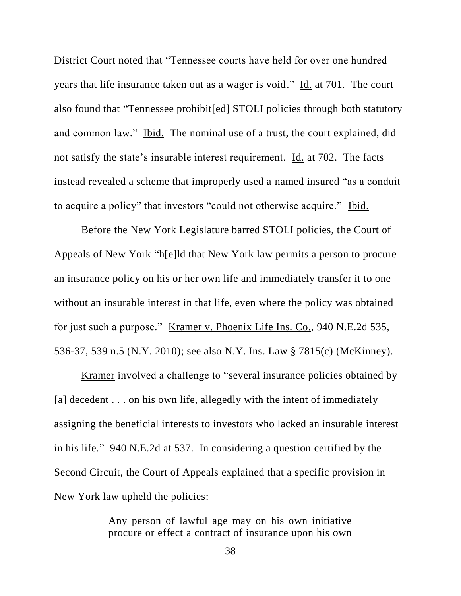District Court noted that "Tennessee courts have held for over one hundred years that life insurance taken out as a wager is void." Id. at 701. The court also found that "Tennessee prohibit[ed] STOLI policies through both statutory and common law." Ibid. The nominal use of a trust, the court explained, did not satisfy the state's insurable interest requirement. Id. at 702. The facts instead revealed a scheme that improperly used a named insured "as a conduit to acquire a policy" that investors "could not otherwise acquire." Ibid.

Before the New York Legislature barred STOLI policies, the Court of Appeals of New York "h[e]ld that New York law permits a person to procure an insurance policy on his or her own life and immediately transfer it to one without an insurable interest in that life, even where the policy was obtained for just such a purpose." Kramer v. Phoenix Life Ins. Co., 940 N.E.2d 535, 536-37, 539 n.5 (N.Y. 2010); see also N.Y. Ins. Law § 7815(c) (McKinney).

Kramer involved a challenge to "several insurance policies obtained by [a] decedent . . . on his own life, allegedly with the intent of immediately assigning the beneficial interests to investors who lacked an insurable interest in his life." 940 N.E.2d at 537. In considering a question certified by the Second Circuit, the Court of Appeals explained that a specific provision in New York law upheld the policies:

> Any person of lawful age may on his own initiative procure or effect a contract of insurance upon his own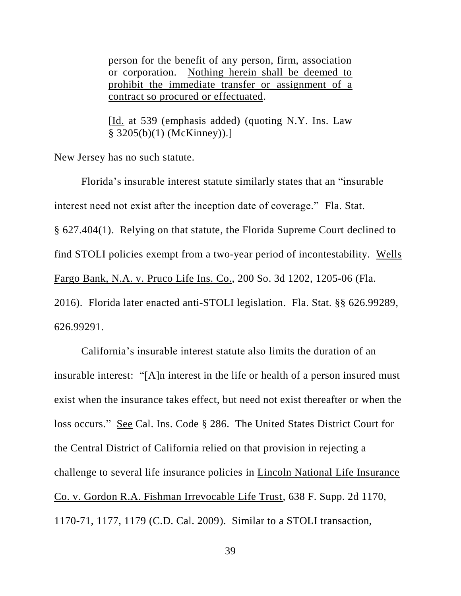person for the benefit of any person, firm, association or corporation. Nothing herein shall be deemed to prohibit the immediate transfer or assignment of a contract so procured or effectuated.

[Id. at 539 (emphasis added) (quoting N.Y. Ins. Law § 3205(b)(1) (McKinney)).]

New Jersey has no such statute.

Florida's insurable interest statute similarly states that an "insurable interest need not exist after the inception date of coverage." Fla. Stat. § 627.404(1). Relying on that statute, the Florida Supreme Court declined to find STOLI policies exempt from a two-year period of incontestability. Wells Fargo Bank, N.A. v. Pruco Life Ins. Co., 200 So. 3d 1202, 1205-06 (Fla. 2016). Florida later enacted anti-STOLI legislation. Fla. Stat. §§ 626.99289, 626.99291.

California's insurable interest statute also limits the duration of an insurable interest: "[A]n interest in the life or health of a person insured must exist when the insurance takes effect, but need not exist thereafter or when the loss occurs." See Cal. Ins. Code § 286. The United States District Court for the Central District of California relied on that provision in rejecting a challenge to several life insurance policies in Lincoln National Life Insurance Co. v. Gordon R.A. Fishman Irrevocable Life Trust, 638 F. Supp. 2d 1170, 1170-71, 1177, 1179 (C.D. Cal. 2009). Similar to a STOLI transaction,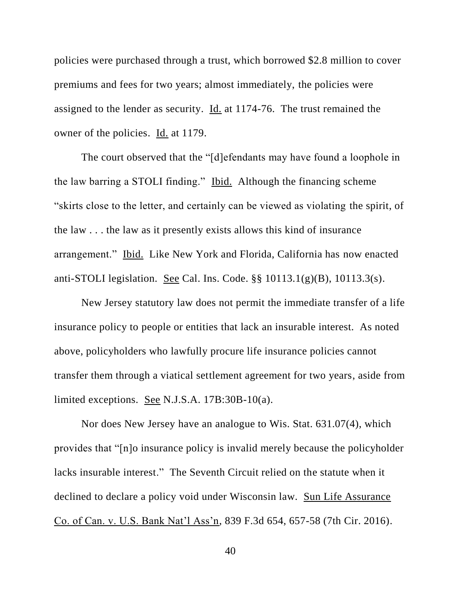policies were purchased through a trust, which borrowed \$2.8 million to cover premiums and fees for two years; almost immediately, the policies were assigned to the lender as security. Id. at 1174-76. The trust remained the owner of the policies. Id. at 1179.

The court observed that the "[d]efendants may have found a loophole in the law barring a STOLI finding." Ibid. Although the financing scheme "skirts close to the letter, and certainly can be viewed as violating the spirit, of the law . . . the law as it presently exists allows this kind of insurance arrangement." Ibid. Like New York and Florida, California has now enacted anti-STOLI legislation. See Cal. Ins. Code. §§ 10113.1(g)(B), 10113.3(s).

New Jersey statutory law does not permit the immediate transfer of a life insurance policy to people or entities that lack an insurable interest. As noted above, policyholders who lawfully procure life insurance policies cannot transfer them through a viatical settlement agreement for two years, aside from limited exceptions. See N.J.S.A. 17B:30B-10(a).

Nor does New Jersey have an analogue to Wis. Stat. 631.07(4), which provides that "[n]o insurance policy is invalid merely because the policyholder lacks insurable interest." The Seventh Circuit relied on the statute when it declined to declare a policy void under Wisconsin law. Sun Life Assurance Co. of Can. v. U.S. Bank Nat'l Ass'n, 839 F.3d 654, 657-58 (7th Cir. 2016).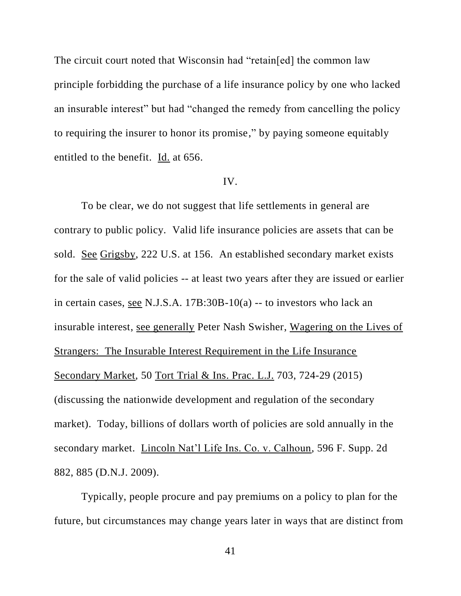The circuit court noted that Wisconsin had "retain[ed] the common law principle forbidding the purchase of a life insurance policy by one who lacked an insurable interest" but had "changed the remedy from cancelling the policy to requiring the insurer to honor its promise," by paying someone equitably entitled to the benefit. Id. at 656.

## IV.

To be clear, we do not suggest that life settlements in general are contrary to public policy. Valid life insurance policies are assets that can be sold. See Grigsby, 222 U.S. at 156. An established secondary market exists for the sale of valid policies -- at least two years after they are issued or earlier in certain cases, see N.J.S.A. 17B:30B-10(a) -- to investors who lack an insurable interest, see generally Peter Nash Swisher, Wagering on the Lives of Strangers: The Insurable Interest Requirement in the Life Insurance Secondary Market, 50 Tort Trial & Ins. Prac. L.J. 703, 724-29 (2015) (discussing the nationwide development and regulation of the secondary market). Today, billions of dollars worth of policies are sold annually in the secondary market. Lincoln Nat'l Life Ins. Co. v. Calhoun, 596 F. Supp. 2d 882, 885 (D.N.J. 2009).

Typically, people procure and pay premiums on a policy to plan for the future, but circumstances may change years later in ways that are distinct from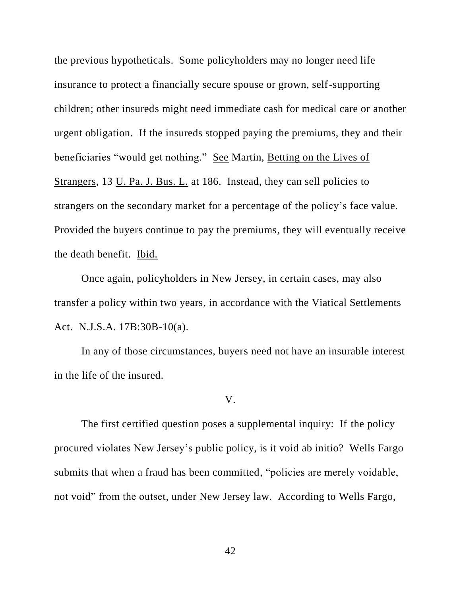the previous hypotheticals. Some policyholders may no longer need life insurance to protect a financially secure spouse or grown, self-supporting children; other insureds might need immediate cash for medical care or another urgent obligation. If the insureds stopped paying the premiums, they and their beneficiaries "would get nothing." See Martin, Betting on the Lives of Strangers, 13 U. Pa. J. Bus. L. at 186. Instead, they can sell policies to strangers on the secondary market for a percentage of the policy's face value. Provided the buyers continue to pay the premiums, they will eventually receive the death benefit. Ibid.

Once again, policyholders in New Jersey, in certain cases, may also transfer a policy within two years, in accordance with the Viatical Settlements Act. N.J.S.A. 17B:30B-10(a).

In any of those circumstances, buyers need not have an insurable interest in the life of the insured.

V.

The first certified question poses a supplemental inquiry: If the policy procured violates New Jersey's public policy, is it void ab initio? Wells Fargo submits that when a fraud has been committed, "policies are merely voidable, not void" from the outset, under New Jersey law. According to Wells Fargo,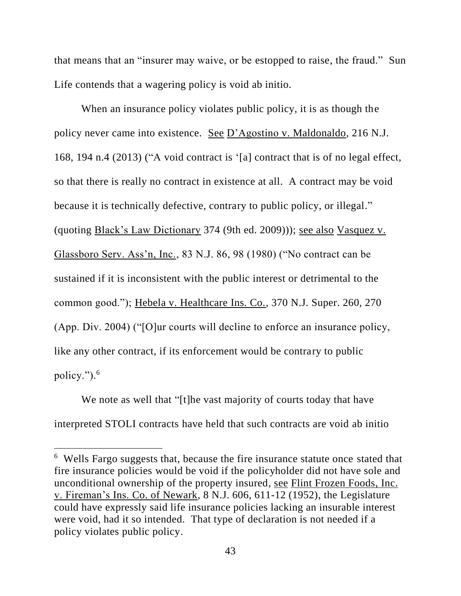that means that an "insurer may waive, or be estopped to raise, the fraud." Sun Life contends that a wagering policy is void ab initio.

When an insurance policy violates public policy, it is as though the policy never came into existence. See D'Agostino v. Maldonaldo, 216 N.J. 168, 194 n.4 (2013) ("A void contract is '[a] contract that is of no legal effect, so that there is really no contract in existence at all. A contract may be void because it is technically defective, contrary to public policy, or illegal." (quoting Black's Law Dictionary 374 (9th ed. 2009))); see also Vasquez v. Glassboro Serv. Ass'n, Inc., 83 N.J. 86, 98 (1980) ("No contract can be sustained if it is inconsistent with the public interest or detrimental to the common good."); Hebela v. Healthcare Ins. Co., 370 N.J. Super. 260, 270 (App. Div. 2004) ("[O]ur courts will decline to enforce an insurance policy, like any other contract, if its enforcement would be contrary to public policy.").<sup>6</sup>

We note as well that "[t]he vast majority of courts today that have interpreted STOLI contracts have held that such contracts are void ab initio

 $\overline{a}$ 

<sup>&</sup>lt;sup>6</sup> Wells Fargo suggests that, because the fire insurance statute once stated that fire insurance policies would be void if the policyholder did not have sole and unconditional ownership of the property insured, see Flint Frozen Foods, Inc. v. Fireman's Ins. Co. of Newark, 8 N.J. 606, 611-12 (1952), the Legislature could have expressly said life insurance policies lacking an insurable interest were void, had it so intended. That type of declaration is not needed if a policy violates public policy.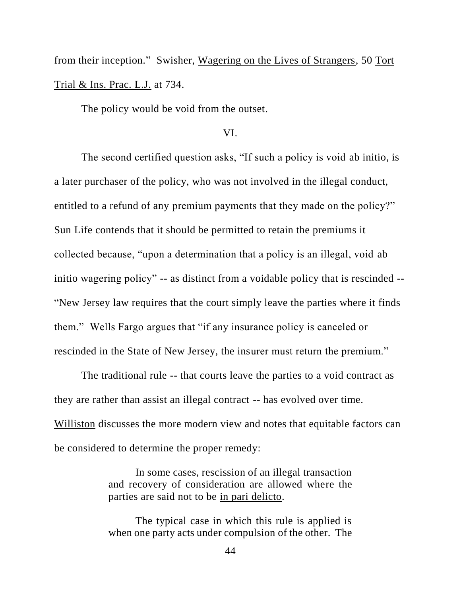from their inception." Swisher, Wagering on the Lives of Strangers, 50 Tort Trial & Ins. Prac. L.J. at 734.

The policy would be void from the outset.

# VI.

The second certified question asks, "If such a policy is void ab initio, is a later purchaser of the policy, who was not involved in the illegal conduct, entitled to a refund of any premium payments that they made on the policy?" Sun Life contends that it should be permitted to retain the premiums it collected because, "upon a determination that a policy is an illegal, void ab initio wagering policy" -- as distinct from a voidable policy that is rescinded -- "New Jersey law requires that the court simply leave the parties where it finds them." Wells Fargo argues that "if any insurance policy is canceled or rescinded in the State of New Jersey, the insurer must return the premium."

The traditional rule -- that courts leave the parties to a void contract as they are rather than assist an illegal contract -- has evolved over time. Williston discusses the more modern view and notes that equitable factors can be considered to determine the proper remedy:

> In some cases, rescission of an illegal transaction and recovery of consideration are allowed where the parties are said not to be in pari delicto.

> The typical case in which this rule is applied is when one party acts under compulsion of the other. The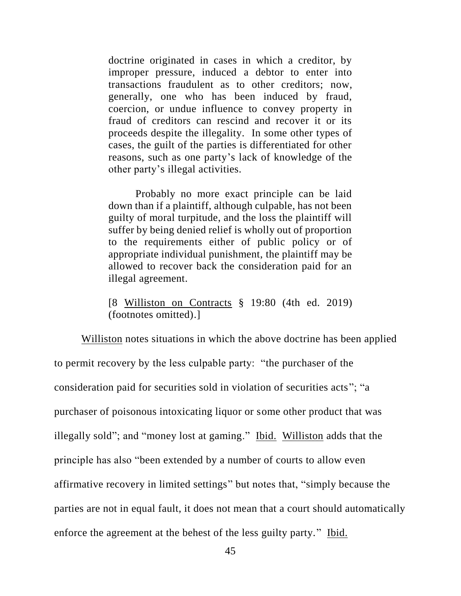doctrine originated in cases in which a creditor, by improper pressure, induced a debtor to enter into transactions fraudulent as to other creditors; now, generally, one who has been induced by fraud, coercion, or undue influence to convey property in fraud of creditors can rescind and recover it or its proceeds despite the illegality. In some other types of cases, the guilt of the parties is differentiated for other reasons, such as one party's lack of knowledge of the other party's illegal activities.

Probably no more exact principle can be laid down than if a plaintiff, although culpable, has not been guilty of moral turpitude, and the loss the plaintiff will suffer by being denied relief is wholly out of proportion to the requirements either of public policy or of appropriate individual punishment, the plaintiff may be allowed to recover back the consideration paid for an illegal agreement.

[8 Williston on Contracts § 19:80 (4th ed. 2019) (footnotes omitted).]

Williston notes situations in which the above doctrine has been applied to permit recovery by the less culpable party: "the purchaser of the consideration paid for securities sold in violation of securities acts"; "a purchaser of poisonous intoxicating liquor or some other product that was illegally sold"; and "money lost at gaming." Ibid. Williston adds that the principle has also "been extended by a number of courts to allow even affirmative recovery in limited settings" but notes that, "simply because the parties are not in equal fault, it does not mean that a court should automatically enforce the agreement at the behest of the less guilty party." Ibid.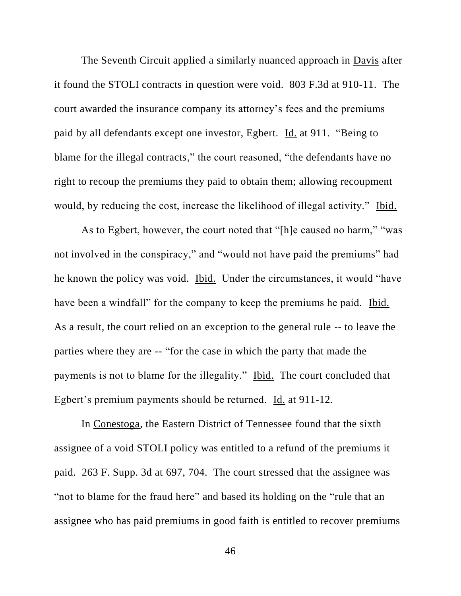The Seventh Circuit applied a similarly nuanced approach in Davis after it found the STOLI contracts in question were void. 803 F.3d at 910-11. The court awarded the insurance company its attorney's fees and the premiums paid by all defendants except one investor, Egbert. Id. at 911. "Being to blame for the illegal contracts," the court reasoned, "the defendants have no right to recoup the premiums they paid to obtain them; allowing recoupment would, by reducing the cost, increase the likelihood of illegal activity." Ibid.

As to Egbert, however, the court noted that "[h]e caused no harm," "was not involved in the conspiracy," and "would not have paid the premiums" had he known the policy was void. Ibid. Under the circumstances, it would "have have been a windfall" for the company to keep the premiums he paid. Ibid. As a result, the court relied on an exception to the general rule -- to leave the parties where they are -- "for the case in which the party that made the payments is not to blame for the illegality." Ibid. The court concluded that Egbert's premium payments should be returned. Id. at 911-12.

In Conestoga, the Eastern District of Tennessee found that the sixth assignee of a void STOLI policy was entitled to a refund of the premiums it paid. 263 F. Supp. 3d at 697, 704. The court stressed that the assignee was "not to blame for the fraud here" and based its holding on the "rule that an assignee who has paid premiums in good faith is entitled to recover premiums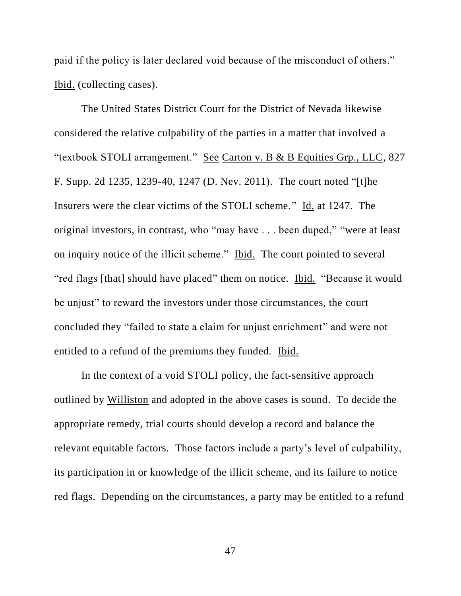paid if the policy is later declared void because of the misconduct of others." Ibid. (collecting cases).

The United States District Court for the District of Nevada likewise considered the relative culpability of the parties in a matter that involved a "textbook STOLI arrangement." See Carton v. B & B Equities Grp., LLC, 827 F. Supp. 2d 1235, 1239-40, 1247 (D. Nev. 2011). The court noted "[t]he Insurers were the clear victims of the STOLI scheme." Id. at 1247. The original investors, in contrast, who "may have . . . been duped," "were at least on inquiry notice of the illicit scheme." Ibid. The court pointed to several "red flags [that] should have placed" them on notice. Ibid. "Because it would be unjust" to reward the investors under those circumstances, the court concluded they "failed to state a claim for unjust enrichment" and were not entitled to a refund of the premiums they funded. Ibid.

In the context of a void STOLI policy, the fact-sensitive approach outlined by Williston and adopted in the above cases is sound. To decide the appropriate remedy, trial courts should develop a record and balance the relevant equitable factors. Those factors include a party's level of culpability, its participation in or knowledge of the illicit scheme, and its failure to notice red flags. Depending on the circumstances, a party may be entitled to a refund